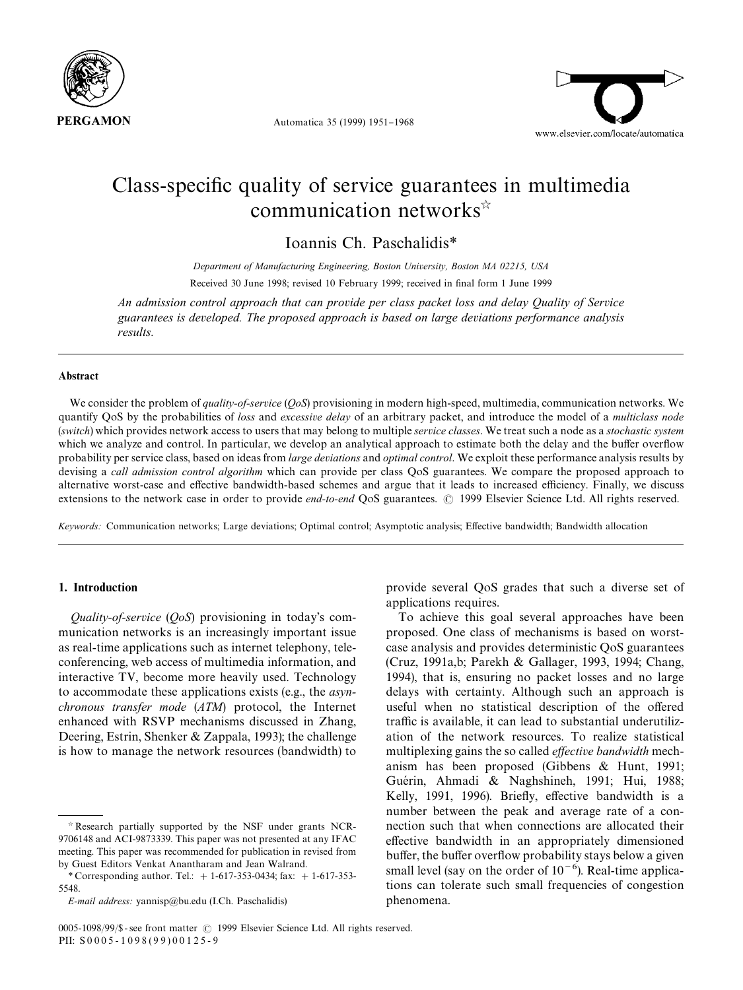



# Class-specific quality of service guarantees in multimedia communication networks $\hat{z}$

Ioannis Ch. Paschalidis*\**

*Department of Manufacturing Engineering, Boston University, Boston MA 02215, USA* Received 30 June 1998; revised 10 February 1999; received in final form 1 June 1999

*An admission control approach that can provide per class packet loss and delay Quality of Service guarantees is developed. The proposed approach is based on large deviations performance analysis results.*

## Abstract

We consider the problem of *quality-of-service* (*QoS*) provisioning in modern high-speed, multimedia, communication networks. We quantify QoS by the probabilities of *loss* and *excessive delay* of an arbitrary packet, and introduce the model of a *multiclass node* (*switch*) which provides network access to users that may belong to multiple *service classes*. We treat such a node as a *stochastic system* which we analyze and control. In particular, we develop an analytical approach to estimate both the delay and the buffer overflow probability per service class, based on ideas from *large deviations* and *optimal control*. We exploit these performance analysis results by devising a *call admission control algorithm* which can provide per class QoS guarantees. We compare the proposed approach to alternative worst-case and effective bandwidth-based schemes and argue that it leads to increased efficiency. Finally, we discuss extensions to the network case in order to provide *end-to-end* QoS guarantees. © 1999 Elsevier Science Ltd. All rights reserved.

*Keywords:* Communication networks; Large deviations; Optimal control; Asymptotic analysis; E!ective bandwidth; Bandwidth allocation

# 1. Introduction

*Quality-of-service* (*QoS*) provisioning in today's communication networks is an increasingly important issue as real-time applications such as internet telephony, teleconferencing, web access of multimedia information, and interactive TV, become more heavily used. Technology to accommodate these applications exists (e.g., the *asynchronous transfer mode* (*ATM*) protocol, the Internet enhanced with RSVP mechanisms discussed in Zhang, Deering, Estrin, Shenker & Zappala, 1993); the challenge is how to manage the network resources (bandwidth) to provide several QoS grades that such a diverse set of applications requires.

To achieve this goal several approaches have been proposed. One class of mechanisms is based on worstcase analysis and provides deterministic QoS guarantees (Cruz, 1991a,b; Parekh & Gallager, 1993, 1994; Chang, 1994), that is, ensuring no packet losses and no large delays with certainty. Although such an approach is useful when no statistical description of the offered traffic is available, it can lead to substantial underutilization of the network resources. To realize statistical multiplexing gains the so called *effective bandwidth* mechanism has been proposed (Gibbens & Hunt, 1991; Guérin, Ahmadi & Naghshineh, 1991; Hui, 1988; Kelly, 1991, 1996). Briefly, effective bandwidth is a number between the peak and average rate of a connection such that when connections are allocated their effective bandwidth in an appropriately dimensioned buffer, the buffer overflow probability stays below a given small level (say on the order of  $10^{-6}$ ). Real-time applications can tolerate such small frequencies of congestion phenomena.

 $\dot{\gamma}$  Research partially supported by the NSF under grants NCR-9706148 and ACI-9873339. This paper was not presented at any IFAC meeting. This paper was recommended for publication in revised from by Guest Editors Venkat Anantharam and Jean Walrand.

*<sup>\*</sup>* Corresponding author. Tel.: #1-617-353-0434; fax: #1-617-353- 5548.

*E-mail address:* yannisp@bu.edu (I.Ch. Paschalidis)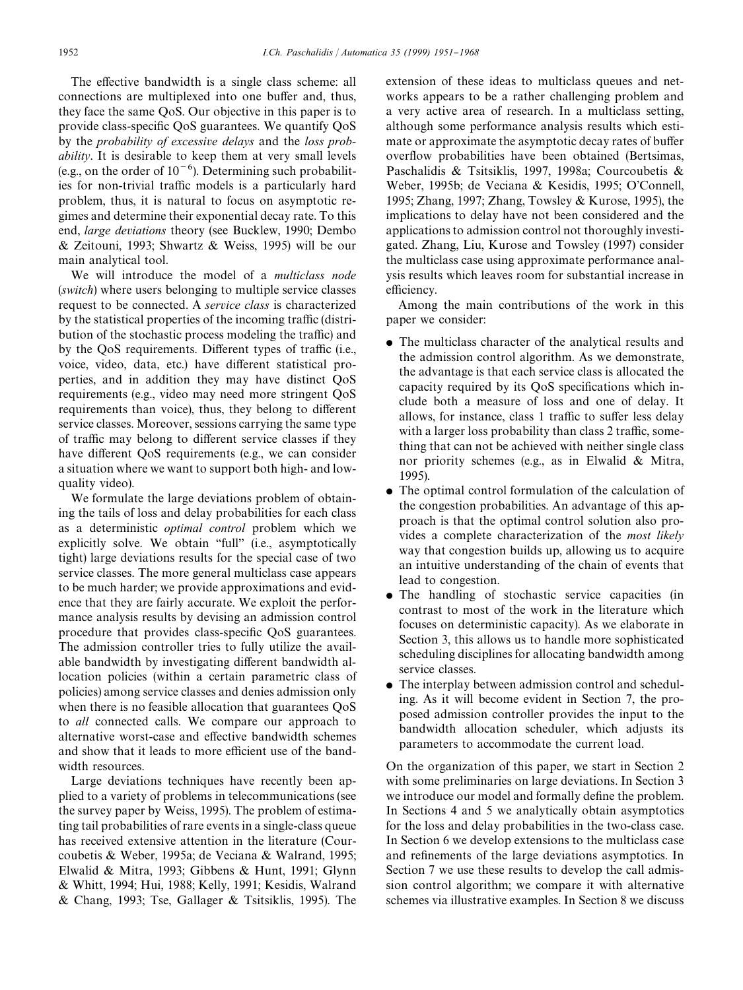The effective bandwidth is a single class scheme: all connections are multiplexed into one buffer and, thus, they face the same QoS. Our objective in this paper is to provide class-specific QoS guarantees. We quantify QoS by the *probability of excessive delays* and the *loss probability*. It is desirable to keep them at very small levels (e.g., on the order of  $10^{-6}$ ). Determining such probabilities for non-trivial traffic models is a particularly hard problem, thus, it is natural to focus on asymptotic regimes and determine their exponential decay rate. To this end, *large deviations* theory (see Bucklew, 1990; Dembo & Zeitouni, 1993; Shwartz & Weiss, 1995) will be our main analytical tool.

We will introduce the model of a *multiclass node* (*switch*) where users belonging to multiple service classes request to be connected. A *service class* is characterized by the statistical properties of the incoming traffic (distribution of the stochastic process modeling the traffic) and by the QoS requirements. Different types of traffic (i.e., voice, video, data, etc.) have different statistical properties, and in addition they may have distinct QoS requirements (e.g., video may need more stringent QoS requirements than voice), thus, they belong to different service classes. Moreover, sessions carrying the same type of traffic may belong to different service classes if they have different OoS requirements (e.g., we can consider a situation where we want to support both high- and lowquality video).

We formulate the large deviations problem of obtaining the tails of loss and delay probabilities for each class as a deterministic *optimal control* problem which we explicitly solve. We obtain "full" (i.e., asymptotically tight) large deviations results for the special case of two service classes. The more general multiclass case appears to be much harder; we provide approximations and evidence that they are fairly accurate. We exploit the performance analysis results by devising an admission control procedure that provides class-specific QoS guarantees. The admission controller tries to fully utilize the available bandwidth by investigating different bandwidth allocation policies (within a certain parametric class of policies) among service classes and denies admission only when there is no feasible allocation that guarantees QoS to *all* connected calls. We compare our approach to alternative worst-case and effective bandwidth schemes and show that it leads to more efficient use of the bandwidth resources.

Large deviations techniques have recently been applied to a variety of problems in telecommunications (see the survey paper by Weiss, 1995). The problem of estimating tail probabilities of rare events in a single-class queue has received extensive attention in the literature (Courcoubetis & Weber, 1995a; de Veciana & Walrand, 1995; Elwalid & Mitra, 1993; Gibbens & Hunt, 1991; Glynn & Whitt, 1994; Hui, 1988; Kelly, 1991; Kesidis, Walrand & Chang, 1993; Tse, Gallager & Tsitsiklis, 1995). The

extension of these ideas to multiclass queues and networks appears to be a rather challenging problem and a very active area of research. In a multiclass setting, although some performance analysis results which estimate or approximate the asymptotic decay rates of buffer overflow probabilities have been obtained (Bertsimas, Paschalidis & Tsitsiklis, 1997, 1998a; Courcoubetis & Weber, 1995b; de Veciana & Kesidis, 1995; O'Connell, 1995; Zhang, 1997; Zhang, Towsley & Kurose, 1995), the implications to delay have not been considered and the applications to admission control not thoroughly investigated. Zhang, Liu, Kurose and Towsley (1997) consider the multiclass case using approximate performance analysis results which leaves room for substantial increase in efficiency.

Among the main contributions of the work in this paper we consider:

- The multiclass character of the analytical results and the admission control algorithm. As we demonstrate, the advantage is that each service class is allocated the capacity required by its QoS specifications which include both a measure of loss and one of delay. It allows, for instance, class 1 traffic to suffer less delay with a larger loss probability than class 2 traffic, something that can not be achieved with neither single class nor priority schemes (e.g., as in Elwalid & Mitra, 1995).
- $\bullet$  The optimal control formulation of the calculation of the congestion probabilities. An advantage of this approach is that the optimal control solution also provides a complete characterization of the *most likely* way that congestion builds up, allowing us to acquire an intuitive understanding of the chain of events that lead to congestion.
- The handling of stochastic service capacities (in contrast to most of the work in the literature which focuses on deterministic capacity). As we elaborate in Section 3, this allows us to handle more sophisticated scheduling disciplines for allocating bandwidth among service classes.
- $\bullet$  The interplay between admission control and scheduling. As it will become evident in Section 7, the proposed admission controller provides the input to the bandwidth allocation scheduler, which adjusts its parameters to accommodate the current load.

On the organization of this paper, we start in Section 2 with some preliminaries on large deviations. In Section 3 we introduce our model and formally define the problem. In Sections 4 and 5 we analytically obtain asymptotics for the loss and delay probabilities in the two-class case. In Section 6 we develop extensions to the multiclass case and refinements of the large deviations asymptotics. In Section 7 we use these results to develop the call admission control algorithm; we compare it with alternative schemes via illustrative examples. In Section 8 we discuss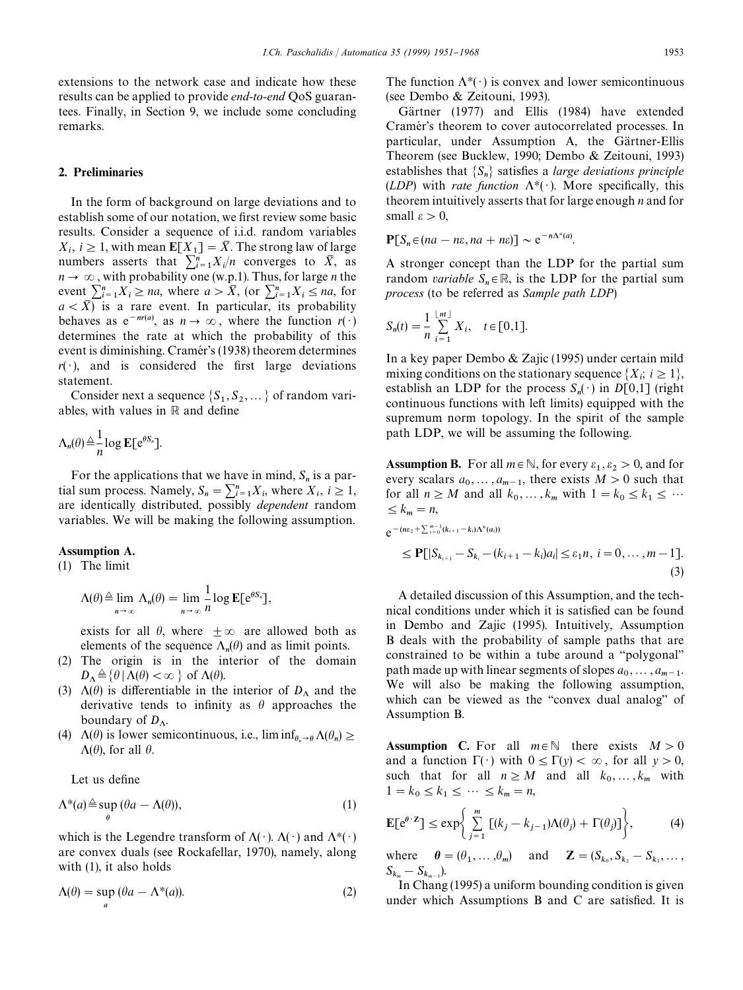extensions to the network case and indicate how these results can be applied to provide *end-to-end* QoS guarantees. Finally, in Section 9, we include some concluding remarks.

# 2. Preliminaries

In the form of background on large deviations and to establish some of our notation, we first review some basic results. Consider a sequence of i.i.d. random variables  $X_i$ ,  $i \geq 1$ , with mean  $\mathbf{E}[X_1] = \overline{X}$ . The strong law of large numbers asserts that  $\sum_{i=1}^{n} X_i/n$  converges to  $\overline{X}$ , as  $n \rightarrow \infty$ , with probability one (w.p.1). Thus, for large *n* the event  $\sum_{i=1}^{n} X_i \ge na$ , where  $a > \overline{X}$ , (or  $\sum_{i=1}^{n} X_i \le na$ , for  $a < \overline{X}$  is a rare event. In particular, its probability behaves as  $e^{-nr(a)}$ , as  $n \to \infty$ , where the function  $r(\cdot)$ determines the rate at which the probability of this event is diminishing. Cramér's (1938) theorem determines  $r(\cdot)$ , and is considered the first large deviations statement.

Consider next a sequence  $\{S_1, S_2, ...\}$  of random variables, with values in  $\mathbb R$  and define

$$
\Lambda_n(\theta) \stackrel{\triangle}{=} \frac{1}{n} \log \mathbf{E}[\mathrm{e}^{\theta S_n}].
$$

For the applications that we have in mind,  $S_n$  is a partial sum process. Namely,  $S_n = \sum_{i=1}^n X_i$ , where  $X_i$ ,  $i \ge 1$ , are identically distributed, possibly *dependent* random variables. We will be making the following assumption.

# Assumption A.

(1) The limit

$$
\Lambda(\theta) \triangleq \lim_{n \to \infty} \Lambda_n(\theta) = \lim_{n \to \infty} \frac{1}{n} \log \mathbb{E}[e^{\theta S_n}],
$$

exists for all  $\theta$ , where  $\pm \infty$  are allowed both as elements of the sequence  $\Lambda_n(\theta)$  and as limit points.

- (2) The origin is in the interior of the domain  $D_{\Lambda} \triangleq {\theta | \Lambda(\theta) < \infty }$  of  $\Lambda(\theta)$ .
- (3)  $\Lambda(\theta)$  is differentiable in the interior of  $D_{\Lambda}$  and the derivative tends to infinity as  $\theta$  approaches the boundary of  $D_A$ .
- (4)  $\Lambda(\theta)$  is lower semicontinuous, i.e.,  $\liminf_{\theta_n \to \theta} \Lambda(\theta_n) \ge$  $\Lambda(\theta)$ , for all  $\theta$ .

Let us define

$$
\Lambda^*(a) \stackrel{\triangle}{=} \sup_{\theta} (\theta a - \Lambda(\theta)),\tag{1}
$$

which is the Legendre transform of  $\Lambda(\cdot)$ .  $\Lambda(\cdot)$  and  $\Lambda^*(\cdot)$ are convex duals (see Rockafellar, 1970), namely, along with  $(1)$ , it also holds

$$
\Lambda(\theta) = \sup_{a} (\theta a - \Lambda^*(a)).
$$
\n(2)

The function  $\Lambda^*(\cdot)$  is convex and lower semicontinuous (see Dembo & Zeitouni, 1993).

Gärtner (1977) and Ellis (1984) have extended Cramér's theorem to cover autocorrelated processes. In particular, under Assumption A, the Gärtner-Ellis Theorem (see Bucklew, 1990; Dembo & Zeitouni, 1993) establishes that  $\{S_n\}$  satisfies a *large deviations principle* (*LDP*) with *rate function*  $\Lambda^*(\cdot)$ . More specifically, this theorem intuitively asserts that for large enough *n* and for small  $\varepsilon > 0$ ,

$$
\mathbf{P}[S_n \in (na - n\varepsilon, na + n\varepsilon)] \sim e^{-n\Lambda^*(a)}.
$$

A stronger concept than the LDP for the partial sum random *variable*  $S_n \in \mathbb{R}$ , is the LDP for the partial sum *process* (to be referred as *Sample path LDP*)

$$
S_n(t) = \frac{1}{n} \sum_{i=1}^{\lfloor nt \rfloor} X_i, \quad t \in [0,1].
$$

In a key paper Dembo & Zajic (1995) under certain mild mixing conditions on the stationary sequence  $\{X_i; i \geq 1\}$ , establish an LDP for the process  $S_n(\cdot)$  in  $D[0,1]$  (right continuous functions with left limits) equipped with the supremum norm topology. In the spirit of the sample path LDP, we will be assuming the following.

**Assumption B.** For all  $m \in \mathbb{N}$ , for every  $\varepsilon_1, \varepsilon_2 > 0$ , and for every scalars  $a_0, \ldots, a_{m-1}$ , there exists  $M > 0$  such that for all  $n \geq M$  and all  $k_0, \ldots, k_m$  with  $1 = k_0 \leq k_1 \leq \cdots$  $\leq k_m = n$ ,

$$
e^{-(n\epsilon_2 + \sum_{i=0}^{m-1} (k_{i+1} - k_i)\Lambda^*(a_i))}
$$
  
\n
$$
\leq P[|S_{k_{i+1}} - S_{k_i} - (k_{i+1} - k_i)a_i| \leq \epsilon_1 n, i = 0, ..., m-1].
$$
\n(3)

A detailed discussion of this Assumption, and the technical conditions under which it is satisfied can be found in Dembo and Zajic (1995). Intuitively, Assumption B deals with the probability of sample paths that are constrained to be within a tube around a "polygonal" path made up with linear segments of slopes  $a_0, \ldots, a_{m-1}$ . We will also be making the following assumption, which can be viewed as the "convex dual analog" of Assumption B.

**Assumption** C. For all  $m \in \mathbb{N}$  there exists  $M > 0$ and a function  $\Gamma(\cdot)$  with  $0 \leq \Gamma(y) < \infty$ , for all  $y > 0$ , such that for all  $n \geq M$  and all  $k_0, \ldots, k_m$  with  $1 = k_0 \le k_1 \le \cdots \le k_m = n,$ 

$$
\mathbf{E}[e^{\theta \cdot z}] \le \exp\bigg\{\sum_{j=1}^{m} \left[ (k_j - k_{j-1}) \Lambda(\theta_j) + \Gamma(\theta_j) \right] \bigg\},\tag{4}
$$

where  $\theta = (\theta_1, \dots, \theta_m)$  and  $\mathbf{Z} = (S_{k_0}, S_{k_2} - S_{k_1}, \dots, S_{k_m})$  $S_{k_m} - S_{k_{m-1}}$ .

In Chang (1995) a uniform bounding condition is given under which Assumptions  $B$  and  $C$  are satisfied. It is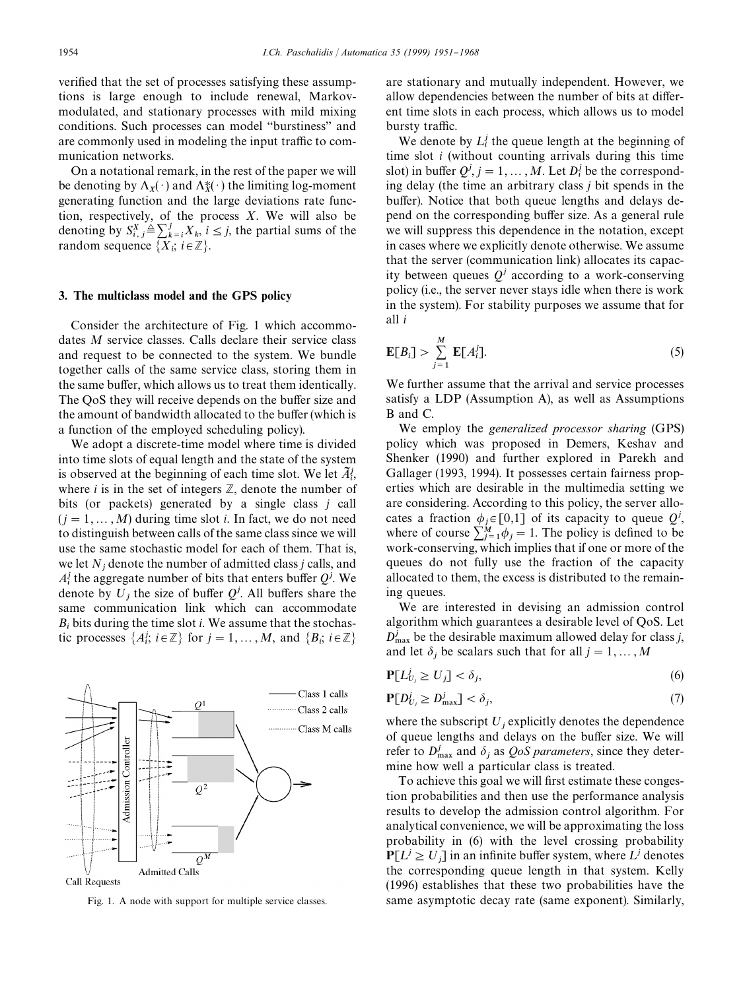verified that the set of processes satisfying these assumptions is large enough to include renewal, Markovmodulated, and stationary processes with mild mixing conditions. Such processes can model "burstiness" and are commonly used in modeling the input traffic to communication networks.

On a notational remark, in the rest of the paper we will be denoting by  $\Lambda_X(\cdot)$  and  $\Lambda_X^*(\cdot)$  the limiting log-moment generating function and the large deviations rate function, respectively, of the process *X*. We will also be denoting by  $S_{i,j}^X \triangleq \sum_{k=i}^j X_k, i \leq j$ , the partial sums of the random sequence  $\{\overrightarrow{X}_i; i \in \mathbb{Z}\}.$ 

## 3. The multiclass model and the GPS policy

Consider the architecture of Fig. 1 which accommodates *M* service classes. Calls declare their service class and request to be connected to the system. We bundle together calls of the same service class, storing them in the same buffer, which allows us to treat them identically. The QoS they will receive depends on the buffer size and the amount of bandwidth allocated to the buffer (which is a function of the employed scheduling policy).

We adopt a discrete-time model where time is divided into time slots of equal length and the state of the system is observed at the beginning of each time slot. We let  $\tilde{A}_{i}^{j}$ , where  $i$  is in the set of integers  $\mathbb{Z}$ , denote the number of bits (or packets) generated by a single class *j* call  $(i = 1, \ldots, M)$  during time slot *i*. In fact, we do not need to distinguish between calls of the same class since we will use the same stochastic model for each of them. That is, we let  $N_j$  denote the number of admitted class *j* calls, and  $A_i^j$  the aggregate number of bits that enters buffer  $Q^j$ . We denote by  $U_j$  the size of buffer  $Q^j$ . All buffers share the same communication link which can accommodate  $B_i$  bits during the time slot *i*. We assume that the stochastic processes  $\{A_i^j; i \in \mathbb{Z}\}$  for  $j = 1, ..., M$ , and  $\{B_i; i \in \mathbb{Z}\}$ 



Fig. 1. A node with support for multiple service classes.

are stationary and mutually independent. However, we allow dependencies between the number of bits at different time slots in each process, which allows us to model bursty traffic.

We denote by  $L_i^j$  the queue length at the beginning of time slot *i* (without counting arrivals during this time slot) in buffer  $Q^j$ ,  $j = 1, ..., M$ . Let  $D_i^j$  be the correspond ing delay (the time an arbitrary class *j* bit spends in the buffer). Notice that both queue lengths and delays depend on the corresponding buffer size. As a general rule we will suppress this dependence in the notation, except in cases where we explicitly denote otherwise. We assume that the server (communication link) allocates its capacity between queues  $Q<sup>j</sup>$  according to a work-conserving policy (i.e., the server never stays idle when there is work in the system). For stability purposes we assume that for all *i*

$$
\mathbf{E}[B_i] > \sum_{j=1}^{M} \mathbf{E}[A_i^j]. \tag{5}
$$

We further assume that the arrival and service processes satisfy a LDP (Assumption A), as well as Assumptions B and C.

We employ the *generalized processor sharing* (GPS) policy which was proposed in Demers, Keshav and Shenker (1990) and further explored in Parekh and Gallager (1993, 1994). It possesses certain fairness properties which are desirable in the multimedia setting we are considering. According to this policy, the server allocates a fraction  $\phi_j \in [0,1]$  of its capacity to queue  $Q^j$ , where of course  $\sum_{j=1}^{M} \phi_j = 1$ . The policy is defined to be work-conserving, which implies that if one or more of the queues do not fully use the fraction of the capacity allocated to them, the excess is distributed to the remaining queues.

We are interested in devising an admission control algorithm which guarantees a desirable level of QoS. Let  $D_{\text{max}}^j$  be the desirable maximum allowed delay for class *j*, and let  $\delta_j$  be scalars such that for all  $j = 1, \dots, M$ 

$$
\mathbf{P}[L_{U_j}^j \ge U_j] < \delta_j,\tag{6}
$$

$$
\mathbf{P}[D_{U_j}^j \ge D_{\text{max}}^j] < \delta_j,\tag{7}
$$

where the subscript  $U_j$  explicitly denotes the dependence of queue lengths and delays on the buffer size. We will refer to  $D_{\text{max}}^j$  and  $\delta_j$  as *QoS parameters*, since they determine how well a particular class is treated.

To achieve this goal we will first estimate these congestion probabilities and then use the performance analysis results to develop the admission control algorithm. For analytical convenience, we will be approximating the loss probability in (6) with the level crossing probability  $P[L^j \ge U_j]$  in an infinite buffer system, where  $L^j$  denotes the corresponding queue length in that system. Kelly (1996) establishes that these two probabilities have the same asymptotic decay rate (same exponent). Similarly,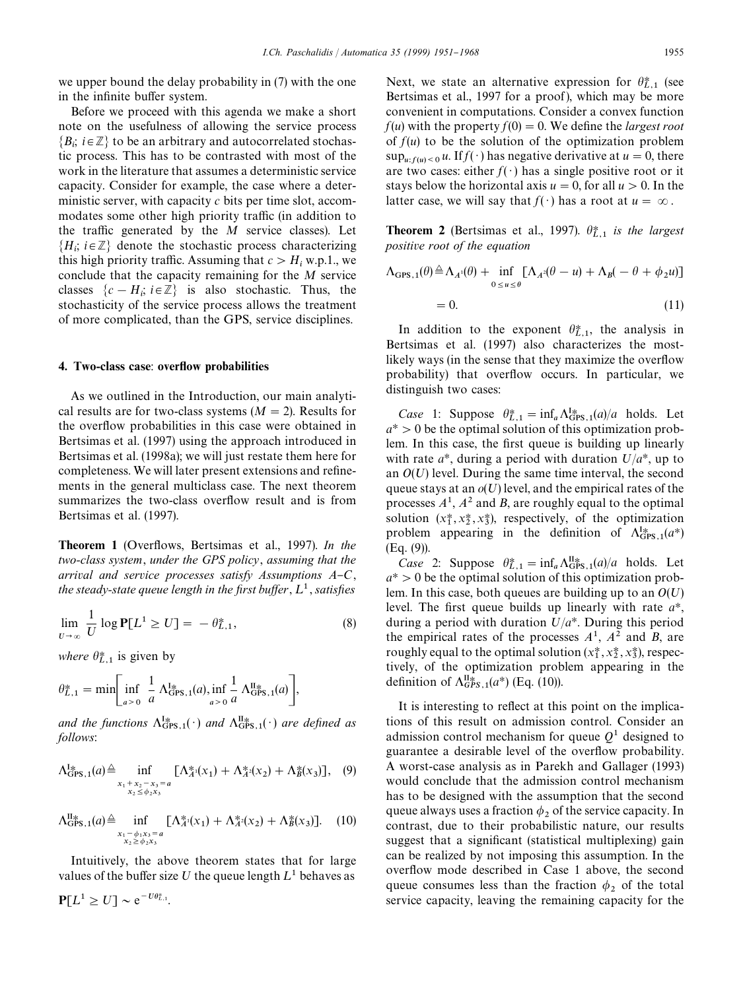we upper bound the delay probability in (7) with the one in the infinite buffer system.

Before we proceed with this agenda we make a short note on the usefulness of allowing the service process  ${B_i; i \in \mathbb{Z}}$  to be an arbitrary and autocorrelated stochas tic process. This has to be contrasted with most of the work in the literature that assumes a deterministic service capacity. Consider for example, the case where a deterministic server, with capacity *c* bits per time slot, accommodates some other high priority traffic (in addition to the traffic generated by the  $M$  service classes). Let  $\{H_i;\, i\!\in\!\mathbb{Z}\}$  denote the stochastic process characterizing this high priority traffic. Assuming that  $c > H_i$  w.p.1., we conclude that the capacity remaining for the *M* service classes  $\{c - H_i; i \in \mathbb{Z}\}\$  is also stochastic. Thus, the stochasticity of the service process allows the treatment of more complicated, than the GPS, service disciplines.

### 4. Two-class case: overflow probabilities

As we outlined in the Introduction, our main analytical results are for two-class systems  $(M = 2)$ . Results for the overflow probabilities in this case were obtained in Bertsimas et al. (1997) using the approach introduced in Bertsimas et al. (1998a); we will just restate them here for completeness. We will later present extensions and refinements in the general multiclass case. The next theorem summarizes the two-class overflow result and is from Bertsimas et al. (1997).

Theorem 1 (Over#ows, Bertsimas et al., 1997). *In the two-class system*, *under the GPS policy*, *assuming that the arrival and service processes satisfy Assumptions A-C*, *the steady-state queue length in the first buffer,*  $L^1$ *, satisfies* 

$$
\lim_{U \to \infty} \frac{1}{U} \log \mathbf{P}[L^1 \ge U] = -\theta_{L,1}^*,\tag{8}
$$

*where*  $\theta_{L,1}^*$  is given by

 $P[L^1 \geq U] \sim e^{-U\theta_{L,1}^*}.$ 

$$
\theta_{L,1}^* = \min \bigg[ \inf_{a > 0} \frac{1}{a} \Lambda_{\text{GPS},1}^{\text{I}_{\text{R}}} (a), \inf_{a > 0} \frac{1}{a} \Lambda_{\text{GPS},1}^{\text{II}_{\text{R}}} (a) \bigg],
$$

*and the functions*  $\Lambda_{\text{GPS},1}^{1*}(\cdot)$  *and*  $\Lambda_{\text{GPS},1}^{II*}(\cdot)$  *are defined as follows*:

$$
\Lambda_{\text{GPS},1}^{1*}(a) \triangleq \inf_{\substack{x_1 + x_2 - x_3 = a \\ x_2 \le \phi_2 x_3}} [\Lambda_A^*(x_1) + \Lambda_A^*(x_2) + \Lambda_B^*(x_3)], \quad (9)
$$

$$
\Lambda_{\text{GPS},1}^{\text{II}}(a) \triangleq \inf_{\substack{x_1 - \phi_1 x_3 = a \\ x_2 \ge \phi_2 x_3}} [\Lambda_A^* (x_1) + \Lambda_A^* (x_2) + \Lambda_B^* (x_3)]. \tag{10}
$$

Intuitively, the above theorem states that for large values of the buffer size U the queue length  $L^1$  behaves as

Next, we state an alternative expression for  $\theta_{L,1}^*$  (see Bertsimas et al., 1997 for a proof ), which may be more convenient in computations. Consider a convex function  $f(u)$  with the property  $f(0) = 0$ . We define the *largest root* of  $f(u)$  to be the solution of the optimization problem  $\sup_{u: f(u) < 0} u$ . If  $f(\cdot)$  has negative derivative at  $u = 0$ , there are two cases: either  $f(\cdot)$  has a single positive root or it stays below the horizontal axis  $u = 0$ , for all  $u > 0$ . In the latter case, we will say that  $f(\cdot)$  has a root at  $u = \infty$ .

**Theorem 2** (Bertsimas et al., 1997).  $\theta_{L,1}^*$  is the largest *positive root of the equation*

$$
\Lambda_{\text{GPS},1}(\theta) \triangleq \Lambda_{A^1}(\theta) + \inf_{0 \le u \le \theta} [\Lambda_{A^2}(\theta - u) + \Lambda_B(-\theta + \phi_2 u)]
$$
  
= 0. (11)

In addition to the exponent  $\theta_{L,1}^*$ , the analysis in Bertsimas et al. (1997) also characterizes the mostlikely ways (in the sense that they maximize the overflow probability) that overflow occurs. In particular, we distinguish two cases:

*Case* 1: Suppose  $\theta_{L,1}^* = \inf_a \Lambda_{\text{GPS},1}^{1*}(a)/a$  holds. Let  $a^* > 0$  be the optimal solution of this optimization problem. In this case, the first queue is building up linearly with rate  $a^*$ , during a period with duration  $U/a^*$ , up to an  $O(U)$  level. During the same time interval, the second queue stays at an  $o(U)$  level, and the empirical rates of the processes  $A^1$ ,  $A^2$  and *B*, are roughly equal to the optimal solution  $(x_1^*, x_2^*, x_3^*)$ , respectively, of the optimization problem appearing in the definition of  $\Lambda_{\text{GPS},1}^{1*}(a^*)$ (Eq. (9)).

*Case* 2: Suppose  $\theta_{L,1}^* = \inf_a \Lambda_{\text{GFS},1}^{\text{II}}(a)/a$  holds. Let  $a^* > 0$  be the optimal solution of this optimization problem. In this case, both queues are building up to an  $O(U)$ level. The first queue builds up linearly with rate  $a^*$ , during a period with duration  $U/a^*$ . During this period the empirical rates of the processes  $A^1$ ,  $A^2$  and *B*, are roughly equal to the optimal solution  $(x_1^*, x_2^*, x_3^*)$ , respectively, of the optimization problem appearing in the definition of  $\Lambda_{GPS,1}^{\text{II}\ast}(a^*)$  (Eq. (10)).

It is interesting to reflect at this point on the implications of this result on admission control. Consider an admission control mechanism for queue  $Q<sup>1</sup>$  designed to guarantee a desirable level of the overflow probability. A worst-case analysis as in Parekh and Gallager (1993) would conclude that the admission control mechanism has to be designed with the assumption that the second queue always uses a fraction  $\phi_2$  of the service capacity. In contrast, due to their probabilistic nature, our results suggest that a significant (statistical multiplexing) gain can be realized by not imposing this assumption. In the overflow mode described in Case 1 above, the second queue consumes less than the fraction  $\phi_2$  of the total service capacity, leaving the remaining capacity for the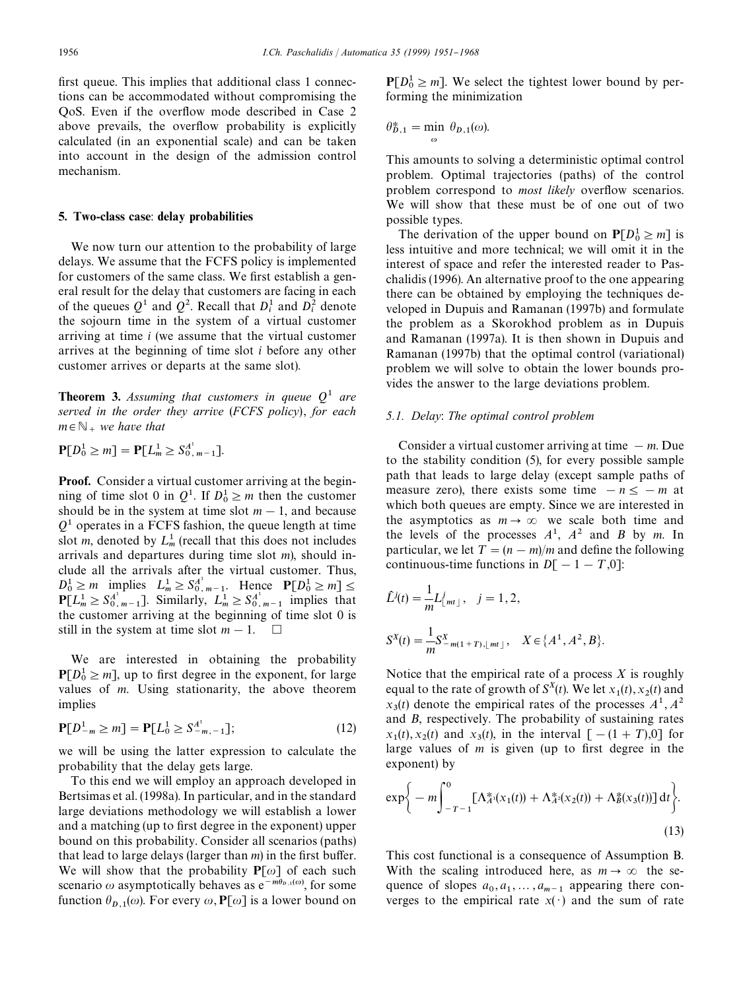first queue. This implies that additional class 1 connections can be accommodated without compromising the QoS. Even if the over#ow mode described in Case 2 above prevails, the overflow probability is explicitly calculated (in an exponential scale) and can be taken into account in the design of the admission control mechanism.

### 5. Two-class case: delay probabilities

We now turn our attention to the probability of large delays. We assume that the FCFS policy is implemented for customers of the same class. We first establish a general result for the delay that customers are facing in each of the queues  $Q^1$  and  $Q^2$ . Recall that  $D_i^1$  and  $D_i^2$  denote the sojourn time in the system of a virtual customer arriving at time *i* (we assume that the virtual customer arrives at the beginning of time slot *i* before any other customer arrives or departs at the same slot).

**Theorem 3.** Assuming that customers in queue  $Q^1$  are *served in the order they arrive* (*FCFS policy*), *for each*  $m \in \mathbb{N}_{+}$  *we have that* 

$$
\mathbf{P}[D_0^1 \ge m] = \mathbf{P}[L_m^1 \ge S_{0, m-1}^{A^1}].
$$

Proof. Consider a virtual customer arriving at the beginning of time slot 0 in  $Q^1$ . If  $D_0^1 \ge m$  then the customer should be in the system at time slot  $m - 1$ , and because  $Q<sup>1</sup>$  operates in a FCFS fashion, the queue length at time slot *m*, denoted by  $L_m^1$  (recall that this does not includes arrivals and departures during time slot *m*), should include all the arrivals after the virtual customer. Thus,  $D_0^1 \ge m$  implies  $L_m^1 \ge S_{0, m-1}^{A^1}$ . Hence  $P[D_0^1 \ge m] \le$  $P[L_m^1 \ge S_0^{A^1}]$ . Similarly,  $L_m^1 \ge S_0^{A^1}$ <sub>*m*-1</sub> implies that the customer arriving at the beginning of time slot 0 is still in the system at time slot  $m - 1$ .  $\Box$ 

We are interested in obtaining the probability  $P[D_0^1 \ge m]$ , up to first degree in the exponent, for large values of *m*. Using stationarity, the above theorem implies

$$
\mathbf{P}[D_{-m}^1 \ge m] = \mathbf{P}[L_0^1 \ge S_{-m,-1}^{A^1}];\tag{12}
$$

we will be using the latter expression to calculate the probability that the delay gets large.

To this end we will employ an approach developed in Bertsimas et al. (1998a). In particular, and in the standard large deviations methodology we will establish a lower and a matching (up to first degree in the exponent) upper bound on this probability. Consider all scenarios (paths) that lead to large delays (larger than  $m$ ) in the first buffer. We will show that the probability  $P[\omega]$  of each such scenario  $\omega$  asymptotically behaves as  $e^{-m\theta_{D,1}(\omega)}$ , for some function  $\theta_{D,1}(\omega)$ . For every  $\omega$ , **P**[ $\omega$ ] is a lower bound on

 $P[D_0^1 \ge m]$ . We select the tightest lower bound by performing the minimization

$$
\theta_{D,1}^* = \min_{\omega} \theta_{D,1}(\omega).
$$

This amounts to solving a deterministic optimal control problem. Optimal trajectories (paths) of the control problem correspond to *most likely* overflow scenarios. We will show that these must be of one out of two possible types.

The derivation of the upper bound on  $P[D_0^1 \ge m]$  is less intuitive and more technical; we will omit it in the interest of space and refer the interested reader to Paschalidis (1996). An alternative proof to the one appearing there can be obtained by employing the techniques developed in Dupuis and Ramanan (1997b) and formulate the problem as a Skorokhod problem as in Dupuis and Ramanan (1997a). It is then shown in Dupuis and Ramanan (1997b) that the optimal control (variational) problem we will solve to obtain the lower bounds provides the answer to the large deviations problem.

# *5.1. Delay*: *The optimal control problem*

Consider a virtual customer arriving at time  $-m$ . Due to the stability condition (5), for every possible sample path that leads to large delay (except sample paths of measure zero), there exists some time  $-n \leq -m$  at which both queues are empty. Since we are interested in the asymptotics as  $m \to \infty$  we scale both time and the levels of the processes  $A<sup>1</sup>$ ,  $A<sup>2</sup>$  and *B* by *m*. In particular, we let  $T = (n - m)/m$  and define the following continuous-time functions in  $D[-1 - T,0]$ :

$$
\hat{L}^{j}(t) = \frac{1}{m} L^{j}_{\lfloor mt \rfloor}, \quad j = 1, 2,
$$
\n
$$
S^{X}(t) = \frac{1}{m} S^{X}_{-m(1+T), \lfloor mt \rfloor}, \quad X \in \{A^{1}, A^{2}, B\}.
$$

Notice that the empirical rate of a process *X* is roughly equal to the rate of growth of  $S^X(t)$ . We let  $x_1(t)$ ,  $x_2(t)$  and  $x_3(t)$  denote the empirical rates of the processes  $A^1$ ,  $A^2$ and *B*, respectively. The probability of sustaining rates  $x_1(t)$ ,  $x_2(t)$  and  $x_3(t)$ , in the interval  $[-(1 + T),0]$  for large values of  $m$  is given (up to first degree in the exponent) by

$$
\exp\bigg\{-m\int_{-T-1}^{0} \left[\Lambda_{A}^{*}(x_{1}(t)) + \Lambda_{A}^{*}(x_{2}(t)) + \Lambda_{B}^{*}(x_{3}(t))\right]dt\bigg\}.
$$
\n(13)

This cost functional is a consequence of Assumption B. With the scaling introduced here, as  $m \to \infty$  the sequence of slopes  $a_0, a_1, \ldots, a_{m-1}$  appearing there converges to the empirical rate  $x(·)$  and the sum of rate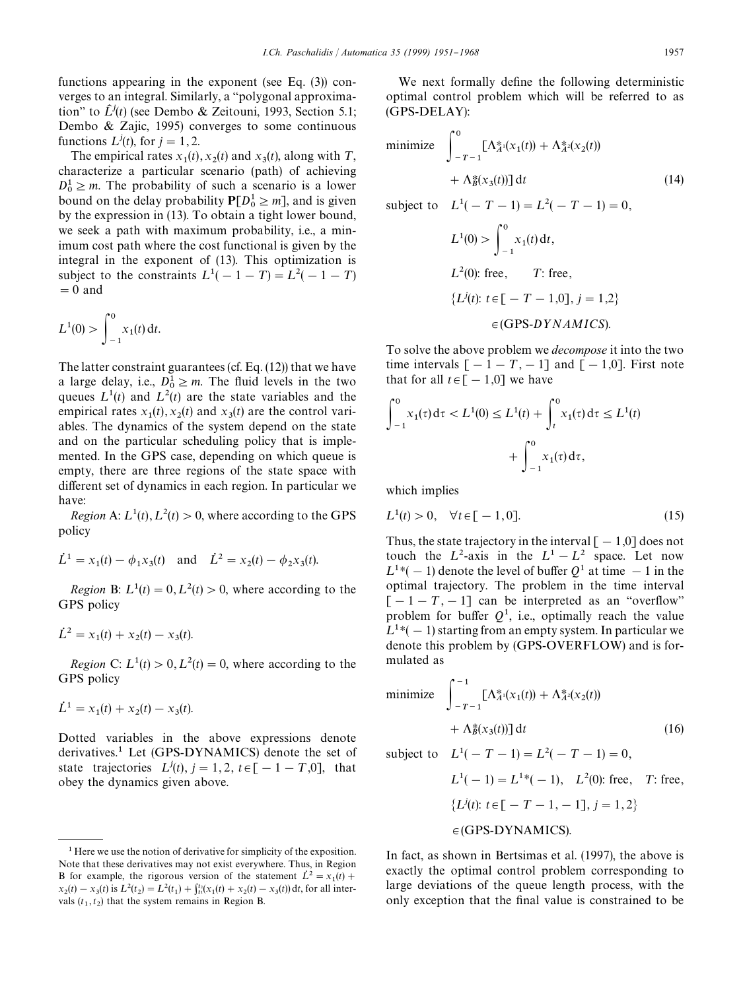functions appearing in the exponent (see Eq. (3)) converges to an integral. Similarly, a "polygonal approximation" to  $\hat{L}^j(t)$  (see Dembo & Zeitouni, 1993, Section 5.1; Dembo & Zajic, 1995) converges to some continuous functions  $L^{j}(t)$ , for  $j = 1, 2$ .

The empirical rates  $x_1(t)$ ,  $x_2(t)$  and  $x_3(t)$ , along with T, characterize a particular scenario (path) of achieving  $D_0^1 \ge m$ . The probability of such a scenario is a lower bound on the delay probability  $P[D_0^1 \ge m]$ , and is given by the expression in (13). To obtain a tight lower bound, we seek a path with maximum probability, i.e., a minimum cost path where the cost functional is given by the integral in the exponent of (13). This optimization is subject to the constraints  $L^1(-1-T) = L^2(-1-T)$  $= 0$  and

$$
L^1(0) > \int_{-1}^0 x_1(t) \, \mathrm{d}t.
$$

The latter constraint guarantees (cf. Eq. (12)) that we have a large delay, i.e.,  $D_0^1 \ge m$ . The fluid levels in the two queues  $L^1(t)$  and  $L^2(t)$  are the state variables and the empirical rates  $x_1(t)$ ,  $x_2(t)$  and  $x_3(t)$  are the control variables. The dynamics of the system depend on the state and on the particular scheduling policy that is implemented. In the GPS case, depending on which queue is empty, there are three regions of the state space with different set of dynamics in each region. In particular we have:

*Region* A:  $L^1(t)$ ,  $L^2(t) > 0$ , where according to the GPS policy

$$
\dot{L}^1 = x_1(t) - \phi_1 x_3(t)
$$
 and  $\dot{L}^2 = x_2(t) - \phi_2 x_3(t)$ .

*Region* B:  $L^1(t) = 0, L^2(t) > 0$ , where according to the GPS policy

$$
\dot{L}^2 = x_1(t) + x_2(t) - x_3(t).
$$

*Region* C:  $L^1(t) > 0, L^2(t) = 0$ , where according to the GPS policy

$$
\dot{L}^1 = x_1(t) + x_2(t) - x_3(t).
$$

Dotted variables in the above expressions denote derivatives.<sup>1</sup> Let (GPS-DYNAMICS) denote the set of state trajectories  $L^{j}(t)$ ,  $j = 1, 2$ ,  $t \in \lceil -1 - T, 0 \rceil$ , that obey the dynamics given above.

We next formally define the following deterministic optimal control problem which will be referred to as (GPS-DELAY):

minimize 
$$
\int_{-T-1}^{0} [\Lambda_A^*(x_1(t)) + \Lambda_A^*(x_2(t)) + \Lambda_B^*(x_3(t))] dt
$$
 (14)

subject to  $L^{1}(-T-1) = L^{2}(-T-1) = 0$ ,

$$
L^{1}(0) > \int_{-1}^{0} x_{1}(t) dt,
$$
  
\n
$$
L^{2}(0)
$$
: free,  $T$ : free,  
\n
$$
\{L^{j}(t): t \in [-T-1,0], j = 1,2\}
$$
  
\n $\in$ (GPS-DYNAMICS).

To solve the above problem we *decompose* it into the two time intervals  $[-1 - T, -1]$  and  $[-1,0]$ . First note that for all  $t \in [-1,0]$  we have

$$
\int_{-1}^{0} x_1(\tau) d\tau < L^1(0) \le L^1(t) + \int_{t}^{0} x_1(\tau) d\tau \le L^1(t) + \int_{-1}^{0} x_1(\tau) d\tau,
$$

which implies

$$
L^{1}(t) > 0, \quad \forall t \in [-1, 0].
$$
\n(15)

Thus, the state trajectory in the interval  $[-1,0]$  does not touch the  $L^2$ -axis in the  $L^1 - L^2$  space. Let now  $L^{1*}(-1)$  denote the level of buffer  $Q^1$  at time  $-1$  in the optimal trajectory. The problem in the time interval  $[-1 - T, -1]$  can be interpreted as an "overflow" problem for buffer  $Q<sup>1</sup>$ , i.e., optimally reach the value  $L^{1*}(-1)$  starting from an empty system. In particular we denote this problem by (GPS-OVERFLOW) and is formulated as

minimize 
$$
\int_{-T-1}^{-1} [\Lambda_A^*(x_1(t)) + \Lambda_A^*(x_2(t)) + \Lambda_B^*(x_3(t))] dt
$$
 (16)

subject to  $L^1(-T-1) = L^2(-T-1) = 0$ ,

$$
L^{1}(-1) = L^{1*}(-1), \quad L^{2}(0)
$$
: free, T: free,  

$$
\{L^{j}(t): t \in [-T-1, -1], j = 1, 2\}
$$

$$
\in
$$
(GPS-DYNAMICS).

In fact, as shown in Bertsimas et al. (1997), the above is exactly the optimal control problem corresponding to large deviations of the queue length process, with the only exception that the final value is constrained to be

<sup>&</sup>lt;sup>1</sup> Here we use the notion of derivative for simplicity of the exposition. Note that these derivatives may not exist everywhere. Thus, in Region B for example, the rigorous version of the statement  $\dot{L}^2 = x_1(t) +$  $x_2(t) - x_3(t)$  is  $L^2(t_2) = L^2(t_1) + \int_{t_1}^{t_2} (x_1(t) + x_2(t) - x_3(t)) dt$ , for all intervals  $(t_1, t_2)$  that the system remains in Region B.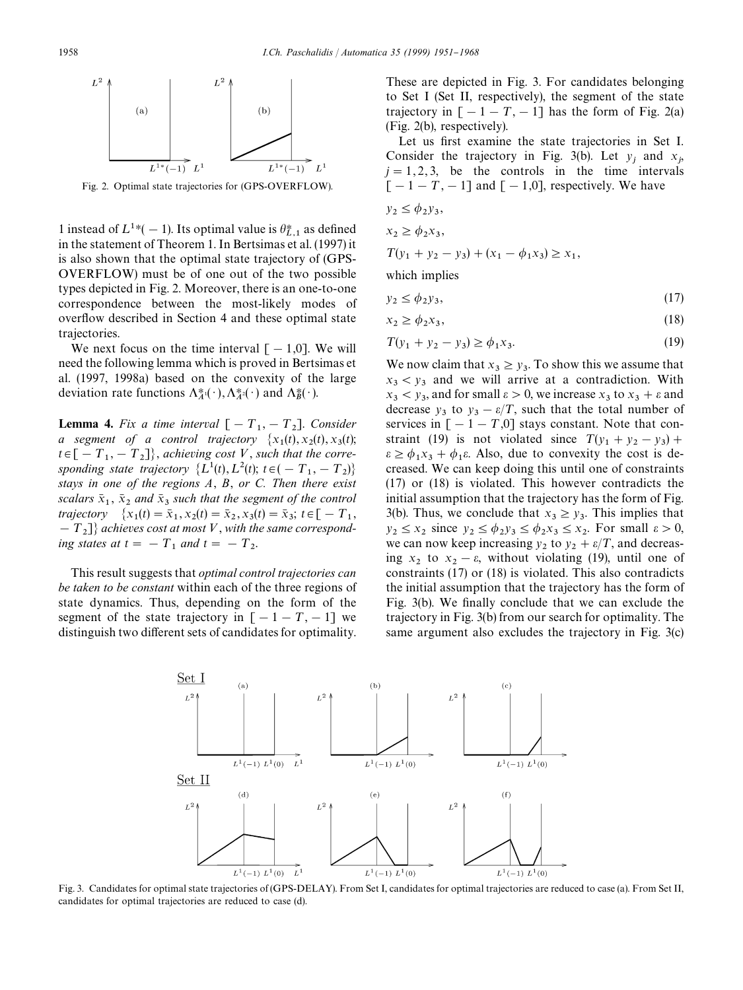

Fig. 2. Optimal state trajectories for (GPS-OVERFLOW).

1 instead of  $L^{1*}(-1)$ . Its optimal value is  $\theta_{L,1}^*$  as defined in the statement of Theorem 1. In Bertsimas et al. (1997) it is also shown that the optimal state trajectory of (GPS-OVERFLOW) must be of one out of the two possible types depicted in Fig. 2. Moreover, there is an one-to-one correspondence between the most-likely modes of overflow described in Section 4 and these optimal state trajectories.

We next focus on the time interval  $[-1,0]$ . We will need the following lemma which is proved in Bertsimas et al. (1997, 1998a) based on the convexity of the large deviation rate functions  $\Lambda_A^*(\cdot), \Lambda_A^*(\cdot)$  and  $\Lambda_B^*(\cdot)$ .

**Lemma 4.** Fix a time interval  $[-T_1, -T_2]$ . Consider *a* segment of a control trajectory  $\{x_1(t), x_2(t), x_3(t)\}$  $t \in [-T_1, -T_2]$ , *achieving cost* V, *such that the corresponding state trajectory*  $\{L^1(t), L^2(t), t \in (-T_1, -T_2)\}$ *stays in one of the regions A*, *B*, *or C. Then there exist scalars*  $\bar{x}_1$ ,  $\bar{x}_2$  *and*  $\bar{x}_3$  *such that the segment of the control trajectory*  $\{x_1(t) = \bar{x}_1, x_2(t) = \bar{x}_2, x_3(t) = \bar{x}_3; t \in [-T_1, T_2]$  $[-T_2]$  *achieves cost at most* V, with the same correspond*ing states at*  $t = -T_1$  *and*  $t = -T_2$ .

This result suggests that *optimal control trajectories can be taken to be constant* within each of the three regions of state dynamics. Thus, depending on the form of the segment of the state trajectory in  $[-1 - T, -1]$  we distinguish two different sets of candidates for optimality.

These are depicted in Fig. 3. For candidates belonging to Set I (Set II, respectively), the segment of the state trajectory in  $[-1 - T, -1]$  has the form of Fig. 2(a) (Fig. 2(b), respectively).

Let us first examine the state trajectories in Set I. Consider the trajectory in Fig. 3(b). Let  $y_j$  and  $x_j$ ,  $j = 1, 2, 3$ , be the controls in the time intervals  $[-1 - T, -1]$  and  $[-1,0]$ , respectively. We have

$$
y_2 \le \phi_2 y_3,
$$
  

$$
x_2 \ge \phi_2 x_3,
$$

$$
T(y_1 + y_2 - y_3) + (x_1 - \phi_1 x_3) \ge x_1,
$$

which implies

$$
y_2 \le \phi_2 y_3,\tag{17}
$$

$$
x_2 \ge \phi_2 x_3,\tag{18}
$$

$$
T(y_1 + y_2 - y_3) \ge \phi_1 x_3. \tag{19}
$$

We now claim that  $x_3 \ge y_3$ . To show this we assume that  $x_3 < y_3$  and we will arrive at a contradiction. With  $x_3 < y_3$ , and for small  $\varepsilon > 0$ , we increase  $x_3$  to  $x_3 + \varepsilon$  and decrease  $y_3$  to  $y_3 - \varepsilon/T$ , such that the total number of services in  $[-1 - T,0]$  stays constant. Note that constraint (19) is not violated since  $T(y_1 + y_2 - y_3) +$  $\varepsilon \geq \phi_1 x_3 + \phi_1 \varepsilon$ . Also, due to convexity the cost is decreased. We can keep doing this until one of constraints (17) or (18) is violated. This however contradicts the initial assumption that the trajectory has the form of Fig. 3(b). Thus, we conclude that  $x_3 \ge y_3$ . This implies that  $y_2 \le x_2$  since  $y_2 \le \phi_2 y_3 \le \phi_2 x_3 \le x_2$ . For small  $\varepsilon > 0$ , we can now keep increasing  $y_2$  to  $y_2 + \varepsilon/T$ , and decreasing  $x_2$  to  $x_2 - \varepsilon$ , without violating (19), until one of constraints (17) or (18) is violated. This also contradicts the initial assumption that the trajectory has the form of Fig. 3(b). We finally conclude that we can exclude the trajectory in Fig. 3(b) from our search for optimality. The same argument also excludes the trajectory in Fig. 3(c)



Fig. 3. Candidates for optimal state trajectories of (GPS-DELAY). From Set I, candidates for optimal trajectories are reduced to case (a). From Set II, candidates for optimal trajectories are reduced to case (d).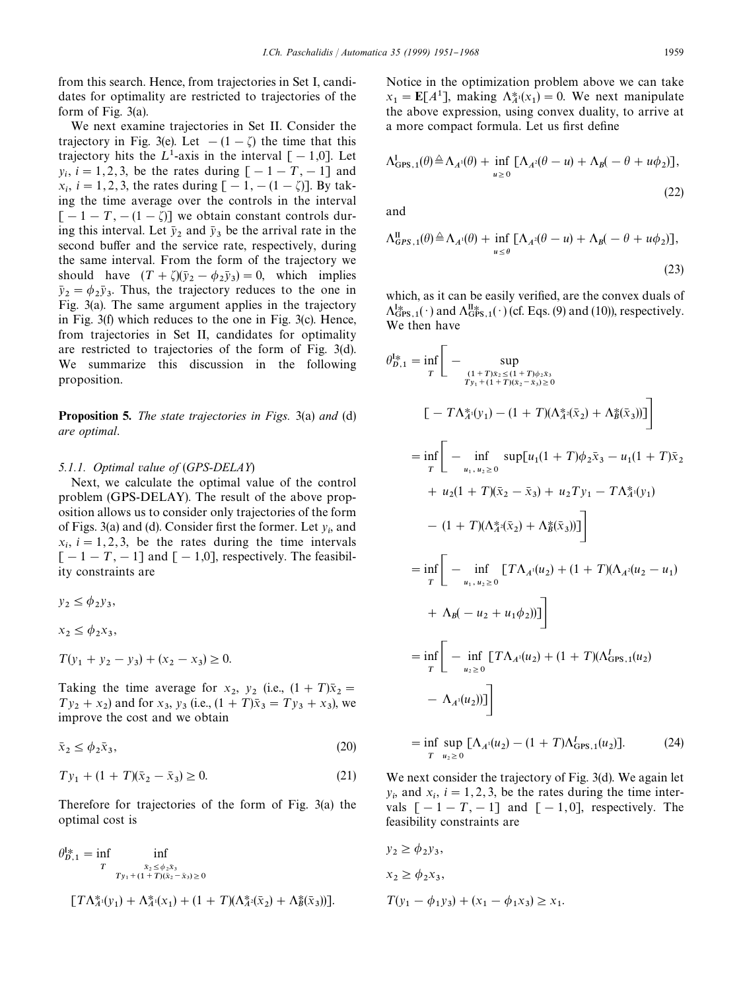from this search. Hence, from trajectories in Set I, candidates for optimality are restricted to trajectories of the form of Fig. 3(a).

We next examine trajectories in Set II. Consider the trajectory in Fig. 3(e). Let  $-(1 - \zeta)$  the time that this trajectory hits the  $L^1$ -axis in the interval  $[-1,0]$ . Let  $y_i$ ,  $i = 1, 2, 3$ , be the rates during  $[-1 - T, -1]$  and  $x_i$ ,  $i = 1, 2, 3$ , the rates during  $[-1, -(1 - \zeta)]$ . By tak ing the time average over the controls in the interval  $[-1 - T, -(1 - \zeta)]$  we obtain constant controls during this interval. Let  $\bar{y}_2$  and  $\bar{y}_3$  be the arrival rate in the second buffer and the service rate, respectively, during the same interval. From the form of the trajectory we should have  $(T + \zeta)(\bar{y}_2 - \phi_2 \bar{y}_3) = 0$ , which implies  $\bar{y}_2 = \phi_2 \bar{y}_3$ . Thus, the trajectory reduces to the one in Fig. 3(a). The same argument applies in the trajectory in Fig. 3(f) which reduces to the one in Fig. 3(c). Hence, from trajectories in Set II, candidates for optimality are restricted to trajectories of the form of Fig. 3(d). We summarize this discussion in the following proposition.

Proposition 5. *The state trajectories in Figs.* 3(a) *and* (d) *are optimal*.

#### *5.1.1. Optimal value of* (*GPS-DELAY*)

Next, we calculate the optimal value of the control problem (GPS-DELAY). The result of the above proposition allows us to consider only trajectories of the form of Figs. 3(a) and (d). Consider first the former. Let  $y_i$ , and  $x_i$ ,  $i = 1, 2, 3$ , be the rates during the time intervals  $[-1 - T, -1]$  and  $[-1,0]$ , respectively. The feasibility constraints are

 $y_2 \le \phi_2 y_3$ ,

 $x_2 \le \phi_2 x_3,$ 

 $T(y_1 + y_2 - y_3) + (x_2 - x_3) \ge 0.$ 

Taking the time average for  $x_2$ ,  $y_2$  (i.e.,  $(1 + T)\bar{x}_2 = T$  $Ty_2 + x_2$  and for  $x_3$ ,  $y_3$  (i.e.,  $(1 + T)\bar{x}_3 = Ty_3 + x_3$ ), we improve the cost and we obtain

$$
\bar{x}_2 \le \phi_2 \bar{x}_3,\tag{20}
$$

$$
Ty_1 + (1+T)(\bar{x}_2 - \bar{x}_3) \ge 0. \tag{21}
$$

Therefore for trajectories of the form of Fig. 3(a) the optimal cost is

$$
\theta_{D,1}^{1*} = \inf_{T} \inf_{\substack{\bar{x}_2 \le \phi_2 \bar{x}_3 \\ T_{y_1} + (1+T)(\bar{x}_2 - \bar{x}_3) \ge 0}}
$$

$$
[T\Lambda_A^*(y_1) + \Lambda_A^*(x_1) + (1 + T)(\Lambda_A^*(\bar{x}_2) + \Lambda_B^*(\bar{x}_3))].
$$

Notice in the optimization problem above we can take  $x_1 = \mathbf{E}[A^1]$ , making  $\Lambda_A^*(x_1) = 0$ . We next manipulate the above expression, using convex duality, to arrive at a more compact formula. Let us first define

$$
\Lambda_{\text{GPS},1}^{\text{I}}(\theta) \triangleq \Lambda_{A^1}(\theta) + \inf_{u \geq 0} \left[ \Lambda_{A^2}(\theta - u) + \Lambda_B(-\theta + u\phi_2) \right],
$$

and

$$
\Lambda_{GPS,1}^{\text{II}}(\theta) \triangleq \Lambda_{A^1}(\theta) + \inf_{u \le \theta} \left[ \Lambda_{A^2}(\theta - u) + \Lambda_B(-\theta + u\phi_2) \right],\tag{23}
$$

which, as it can be easily verified, are the convex duals of  $\Lambda_{\text{GBS},1}^{\text{I}_{\text{AB}}}(\cdot)$  and  $\Lambda_{\text{GBS},1}^{\text{II}_{\text{AB}}}(\cdot)$  (cf. Eqs. (9) and (10)), respectively. We then have

$$
\theta_{D,1}^{1*} = \inf_{T} \left[ - \sup_{\substack{(1+T)x_2 \leq (1+T)\phi_2\bar{x}_3 \\ Ty_1 + (1+T)(\bar{x}_2 - \bar{x}_3) \geq 0}} \right]
$$
\n
$$
\left[ -T\Lambda_A^*(y_1) - (1+T)(\Lambda_A^*(\bar{x}_2) + \Lambda_B^*(\bar{x}_3)) \right]
$$
\n
$$
= \inf_{T} \left[ - \inf_{u_1, u_2 \geq 0} \sup_{u_1} [u_1(1+T)\phi_2\bar{x}_3 - u_1(1+T)\bar{x}_2 + u_2(1+T)(\bar{x}_2 - \bar{x}_3) + u_2Ty_1 - T\Lambda_A^*(y_1) \right]
$$
\n
$$
- (1+T)(\Lambda_A^*(\bar{x}_2) + \Lambda_B^*(\bar{x}_3))]
$$
\n
$$
= \inf_{T} \left[ - \inf_{u_1, u_2 \geq 0} \left[ T\Lambda_A(u_2) + (1+T)(\Lambda_A^*(u_2 - u_1) + \Lambda_B(-u_2 + u_1\phi_2)) \right] \right]
$$
\n
$$
= \inf_{T} \left[ - \inf_{u_2 \geq 0} \left[ T\Lambda_A(u_2) + (1+T)(\Lambda_{\text{GPS},1}^T(u_2) - \Lambda_A^*(u_2)) \right] \right]
$$
\n
$$
= \inf_{T} \sup_{u_2 \geq 0} \left[ \Lambda_A^*(u_2) - (1+T)\Lambda_{\text{GPS},1}^T(u_2) \right]. \tag{24}
$$

We next consider the trajectory of Fig. 3(d). We again let  $y_i$ , and  $x_i$ ,  $i = 1, 2, 3$ , be the rates during the time intervals  $[-1 - T, -1]$  and  $[-1, 0]$ , respectively. The feasibility constraints are

$$
y_2 \ge \phi_2 y_3,
$$
  
\n
$$
x_2 \ge \phi_2 x_3,
$$
  
\n
$$
T(y_1 - \phi_1 y_3) + (x_1 - \phi_1 x_3) \ge x_1.
$$

T

 $u_2\geq 0$ 

(22)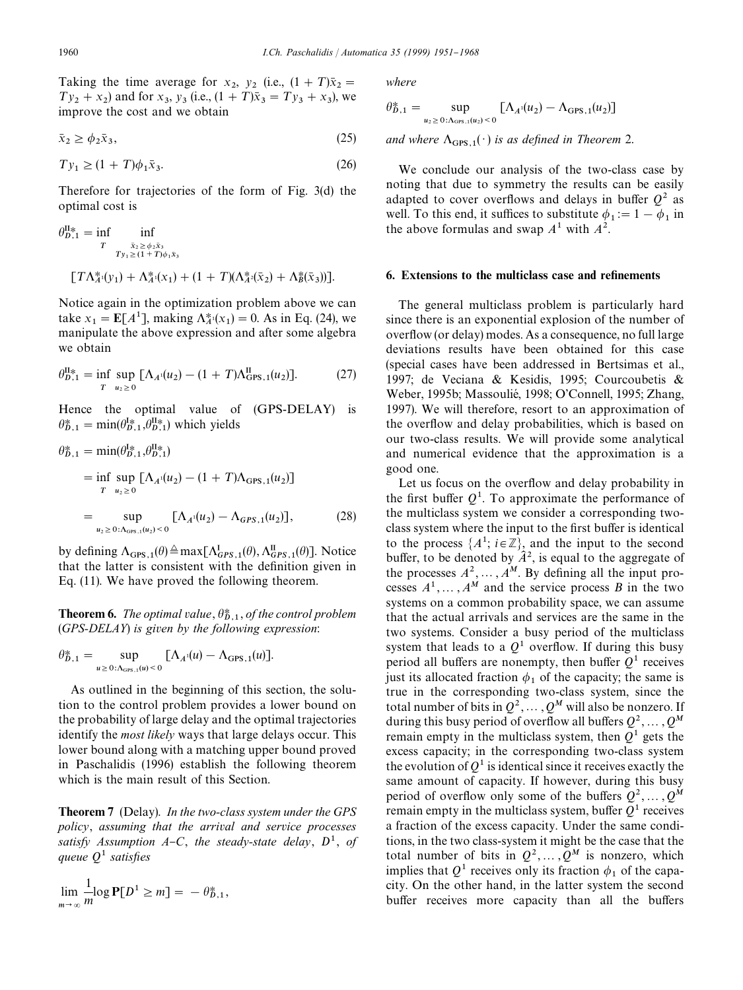Taking the time average for  $x_2$ ,  $y_2$  (i.e.,  $(1 + T)\overline{x}_2 = T$  $Ty_2 + x_2$ ) and for  $x_3$ ,  $y_3$  (i.e.,  $(1 + T)\bar{x}_3 = Ty_3 + x_3$ ), we improve the cost and we obtain

$$
\bar{x}_2 \ge \phi_2 \bar{x}_3,\tag{25}
$$

$$
Ty_1 \ge (1+T)\phi_1 \bar{x}_3. \tag{26}
$$

Therefore for trajectories of the form of Fig. 3(d) the optimal cost is

$$
\theta_{D,1}^{\text{II}\ast} = \inf_{T} \inf_{\substack{\tilde{x}_2 \ge \phi_2 \tilde{x}_3 \\ T_{y_1 \ge (1+T)\phi_1 \tilde{x}_3}}} \inf_{(T\Lambda_A^*(y_1) + \Lambda_A^*(x_1) + (1+T)(\Lambda_A^*(\tilde{x}_2) + \Lambda_B^*(\tilde{x}_3))].}
$$

Notice again in the optimization problem above we can take  $x_1 = \mathbb{E}[A^1]$ , making  $\Lambda_A^*(x_1) = 0$ . As in Eq. (24), we manipulate the above expression and after some algebra we obtain

$$
\theta_{D,1}^{\text{II}*} = \inf_{T} \sup_{u_2 \ge 0} \left[ \Lambda_{A}(u_2) - (1+T)\Lambda_{\text{GPS},1}^{\text{II}}(u_2) \right]. \tag{27}
$$

Hence the optimal value of (GPS-DELAY) is  $\theta_{D,1}^* = \min(\theta_{D,1}^{I*}, \theta_{D,1}^{II*})$  which yields

$$
\theta_{D,1}^{*} = \min(\theta_{D,1}^{1*}, \theta_{D,1}^{II*})
$$
\n
$$
= \inf_{T} \sup_{u_2 \ge 0} [\Lambda_{A}(u_2) - (1 + T)\Lambda_{\text{GPS},1}(u_2)]
$$
\n
$$
= \sup_{u_2 \ge 0: \Lambda_{\text{GPS},1}(u_2) < 0} [\Lambda_{A}(u_2) - \Lambda_{\text{GPS},1}(u_2)], \tag{28}
$$

by defining  $\Lambda_{\text{GPS},1}(\theta) \triangleq \max[\Lambda_{\text{GPS},1}^{\text{I}}(\theta), \Lambda_{\text{GPS},1}^{\text{II}}(\theta)].$  Notice that the latter is consistent with the definition given in Eq. (11). We have proved the following theorem.

**Theorem 6.** The optimal value,  $\theta_{D,1}^*$ , of the control problem (*GPS-DELAY*) *is given by the following expression*:

$$
\theta^*_{D,1} = \sup_{u \geq 0: \Lambda_{\text{GPS},1}(u) < 0} \left[ \Lambda_{A^1}(u) - \Lambda_{\text{GPS},1}(u) \right].
$$

As outlined in the beginning of this section, the solution to the control problem provides a lower bound on the probability of large delay and the optimal trajectories identify the *most likely* ways that large delays occur. This lower bound along with a matching upper bound proved in Paschalidis (1996) establish the following theorem which is the main result of this Section.

Theorem 7 (Delay). *In the two-class system under the GPS policy*, *assuming that the arrival and service processes satisfy Assumption A–C, the steady-state delay,*  $D^1$ *, of queue*  $Q<sup>1</sup>$  *satisfies* 

$$
\lim_{m\to\infty}\frac{1}{m}\log\mathbf{P}[D^1\geq m] = -\theta_{D,1}^*,
$$

*where*

$$
\theta_{D,1}^* = \sup_{u_2 \ge 0: \Lambda_{\text{GPS},1}(u_2) < 0} \left[ \Lambda_{A^1}(u_2) - \Lambda_{\text{GPS},1}(u_2) \right]
$$

*and where*  $\Lambda_{\text{GPS, 1}}(\cdot)$  *is as defined in Theorem* 2.

We conclude our analysis of the two-class case by noting that due to symmetry the results can be easily adapted to cover overflows and delays in buffer  $Q^2$  as well. To this end, it suffices to substitute  $\phi_1 := 1 - \phi_1$  in the above formulas and swap  $A^1$  with  $A^2$ .

# 6. Extensions to the multiclass case and refinements

The general multiclass problem is particularly hard since there is an exponential explosion of the number of overflow (or delay) modes. As a consequence, no full large deviations results have been obtained for this case (special cases have been addressed in Bertsimas et al., 1997; de Veciana & Kesidis, 1995; Courcoubetis & Weber, 1995b; Massoulié, 1998; O'Connell, 1995; Zhang, 1997). We will therefore, resort to an approximation of the over#ow and delay probabilities, which is based on our two-class results. We will provide some analytical and numerical evidence that the approximation is a good one.

Let us focus on the overflow and delay probability in the first buffer  $Q<sup>1</sup>$ . To approximate the performance of the multiclass system we consider a corresponding twoclass system where the input to the first buffer is identical to the process  $\{A^1; i \in \mathbb{Z}\}\$ , and the input to the second buffer, to be denoted by  $\hat{A}^2$ , is equal to the aggregate of the processes  $A^2, \ldots, A^M$ . By defining all the input processes  $A^1, \ldots, A^M$  and the service process *B* in the two systems on a common probability space, we can assume that the actual arrivals and services are the same in the two systems. Consider a busy period of the multiclass system that leads to a  $Q^1$  overflow. If during this busy period all buffers are nonempty, then buffer  $Q<sup>1</sup>$  receives just its allocated fraction  $\phi_1$  of the capacity; the same is true in the corresponding two-class system, since the total number of bits in  $Q^2, \ldots, Q^M$  will also be nonzero. If during this busy period of overflow all buffers  $Q^2, \ldots, Q^M$ remain empty in the multiclass system, then  $Q<sup>1</sup>$  gets the excess capacity; in the corresponding two-class system the evolution of  $Q<sup>1</sup>$  is identical since it receives exactly the same amount of capacity. If however, during this busy period of overflow only some of the buffers  $Q^2, \ldots, Q^M$ remain empty in the multiclass system, buffer  $Q<sup>1</sup>$  receives a fraction of the excess capacity. Under the same conditions, in the two class-system it might be the case that the total number of bits in  $Q^2, \ldots, Q^M$  is nonzero, which implies that  $Q^1$  receives only its fraction  $\phi_1$  of the capacity. On the other hand, in the latter system the second buffer receives more capacity than all the buffers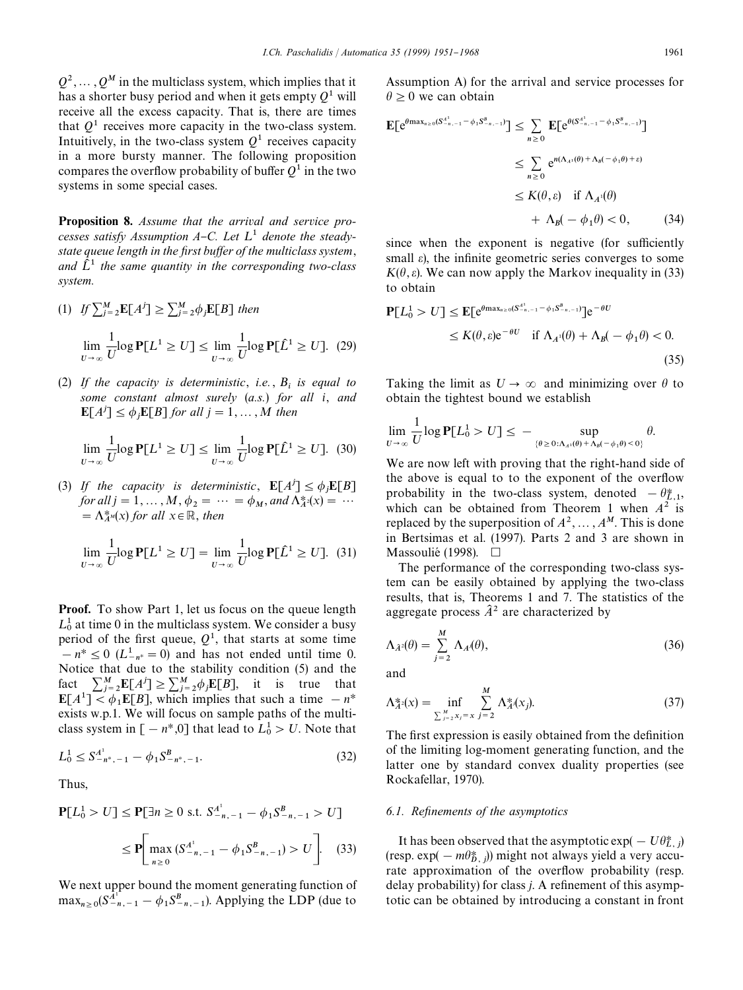$Q^2, \ldots, Q^M$  in the multiclass system, which implies that it has a shorter busy period and when it gets empty *Q*1 will receive all the excess capacity. That is, there are times that  $Q<sup>1</sup>$  receives more capacity in the two-class system. Intuitively, in the two-class system  $Q<sup>1</sup>$  receives capacity in a more bursty manner. The following proposition compares the overflow probability of buffer  $Q^1$  in the two systems in some special cases.

Proposition 8. *Assume that the arrival and service pro*cesses satisfy Assumption A-C. Let  $L^1$  denote the steady*state queue length in the first buffer of the multiclass system,* and  $\tilde{L}^1$  the same quantity in the corresponding two-class *system.*

(1) 
$$
If \sum_{j=2}^{M} \mathbf{E}[A^{j}] \ge \sum_{j=2}^{M} \phi_{j} \mathbf{E}[B] \text{ then}
$$

$$
\lim_{U \to \infty} \frac{1}{U} \log \mathbf{P}[L^{1} \ge U] \le \lim_{U \to \infty} \frac{1}{U} \log \mathbf{P}[\hat{L}^{1} \ge U]. \quad (29)
$$

(2) *If the capacity is deterministic*, *i.e.* , *B*i *is equal to some constant almost surely* (*a.s.*) *for all i*, *and*  $\mathbb{E}[A^j] \leq \phi_j \mathbb{E}[B]$  *for all*  $j = 1, \ldots, M$  *then* 

$$
\lim_{U \to \infty} \frac{1}{U} \log \mathbf{P}[L^1 \ge U] \le \lim_{U \to \infty} \frac{1}{U} \log \mathbf{P}[\hat{L}^1 \ge U]. \tag{30}
$$

(3) *If the capacity is deterministic*,  $\mathbf{E}[A^j] \le \phi_j \mathbf{E}[B]$ *for all*  $j = 1, ..., M$ ,  $\phi_2 = ... = \phi_M$ , and  $\Lambda_A^*(x) = ...$  $= \Lambda_{A}^{*}(x)$  *for all*  $x \in \mathbb{R}$ *, then* 

$$
\lim_{U \to \infty} \frac{1}{U} \log \mathbf{P}[L^1 \ge U] = \lim_{U \to \infty} \frac{1}{U} \log \mathbf{P}[\hat{L}^1 \ge U]. \tag{31}
$$

**Proof.** To show Part 1, let us focus on the queue length  $L_0^1$  at time 0 in the multiclass system. We consider a busy period of the first queue,  $Q<sup>1</sup>$ , that starts at some time  $h - n^* \leq 0$  ( $L^1_{-n^*} = 0$ ) and has not ended until time 0. Notice that due to the stability condition (5) and the fact  $\sum_{j=2}^{M} \mathbb{E}[A^{j}] \ge \sum_{j=2}^{M} \phi_{j} \mathbb{E}[B]$ , it is true that  $\mathbf{E}[A^1] \leq \phi_1 \mathbf{E}[B]$ , which implies that such a time  $-n^*$ exists w.p.1. We will focus on sample paths of the multiclass system in  $[-n^*,0]$  that lead to  $L_0^1 > U$ . Note that

$$
L_0^1 \le S_{-n^*, -1}^{A^1} - \phi_1 S_{-n^*, -1}^B. \tag{32}
$$

Thus,

$$
\mathbf{P}[L_0^1 > U] \le \mathbf{P}[\exists n \ge 0 \text{ s.t. } S_{-n,-1}^{A^1} - \phi_1 S_{-n,-1}^B > U]
$$
  

$$
\le \mathbf{P} \Bigg[ \max_{n \ge 0} (S_{-n,-1}^{A^1} - \phi_1 S_{-n,-1}^B) > U \Bigg]. \quad (33)
$$

We next upper bound the moment generating function of  $\max_{n \geq 0} (S_{-n,-1}^{\hat{A}^{1}} - \phi_1 S_{-n,-1}^B)$ . Applying the LDP (due to

Assumption A) for the arrival and service processes for  $\theta \geq 0$  we can obtain

$$
\mathbf{E}[\mathbf{e}^{\theta \max_{n\geq 0}(S_{-n,-1}^{A^{1}}-\phi_{1}S_{-n,-1}^{B})}] \leq \sum_{n\geq 0} \mathbf{E}[\mathbf{e}^{\theta(S_{-n,-1}^{A^{1}}-\phi_{1}S_{-n,-1}^{B})}]
$$
  

$$
\leq \sum_{n\geq 0} \mathbf{e}^{n(\Lambda_{A^{1}}(\theta)+\Lambda_{B}(-\phi_{1}\theta)+\varepsilon)}
$$
  

$$
\leq K(\theta, \varepsilon) \quad \text{if } \Lambda_{A^{1}}(\theta)
$$
  

$$
+ \Lambda_{B}(-\phi_{1}\theta) < 0, \qquad (34)
$$

since when the exponent is negative (for sufficiently small  $\varepsilon$ ), the infinite geometric series converges to some  $K(\theta, \varepsilon)$ . We can now apply the Markov inequality in (33) to obtain

$$
\mathbf{P}[L_0^1 > U] \le \mathbf{E}[\mathbf{e}^{\theta \max_{n\ge 0} (S_{-n,-1}^{A^1} - \phi_1 S_{-n,-1}^B)}] \mathbf{e}^{-\theta U}
$$
  
 
$$
\le K(\theta, \varepsilon) \mathbf{e}^{-\theta U} \quad \text{if } \Lambda_{A^1}(\theta) + \Lambda_{B}(-\phi_1 \theta) < 0.
$$
 (35)

Taking the limit as  $U \rightarrow \infty$  and minimizing over  $\theta$  to obtain the tightest bound we establish

$$
\lim_{U\to\infty}\frac{1}{U}\log\mathbf{P}[L_0^1>U]\leq -\sup_{\{\theta\geq 0:\Lambda_{A^i}(\theta)+\Lambda_{B}(-\phi_1\theta)<0\}}\theta.
$$

We are now left with proving that the right-hand side of the above is equal to to the exponent of the overflow probability in the two-class system, denoted  $-\theta_{L,1}^*$ , which can be obtained from Theorem 1 when  $A^2$  is K replaced by the superposition of  $A^2, \dots, A^M$ . This is done in Bertsimas et al. (1997). Parts 2 and 3 are shown in Massoulié (1998).  $\Box$ 

The performance of the corresponding two-class system can be easily obtained by applying the two-class results, that is, Theorems 1 and 7. The statistics of the aggregate process  $\hat{A}^2$  are characterized by

$$
\Lambda_{\hat{A}^2}(\theta) = \sum_{j=2}^M \Lambda_A(\theta),\tag{36}
$$

and

$$
\Lambda_A^* (x) = \inf_{\sum_{j=2}^M x_j = x} \sum_{j=2}^M \Lambda_A^* (x_j). \tag{37}
$$

The first expression is easily obtained from the definition of the limiting log-moment generating function, and the latter one by standard convex duality properties (see Rockafellar, 1970).

#### *6.1. Refinements of the asymptotics*

It has been observed that the asymptotic exp(  $-U\theta_{L,j}^*$ ) (resp. exp(  $-m\theta_{D,j}^*$ )) might not always yield a very accurate approximation of the overflow probability (resp. delay probability) for class *j*. A refinement of this asymptotic can be obtained by introducing a constant in front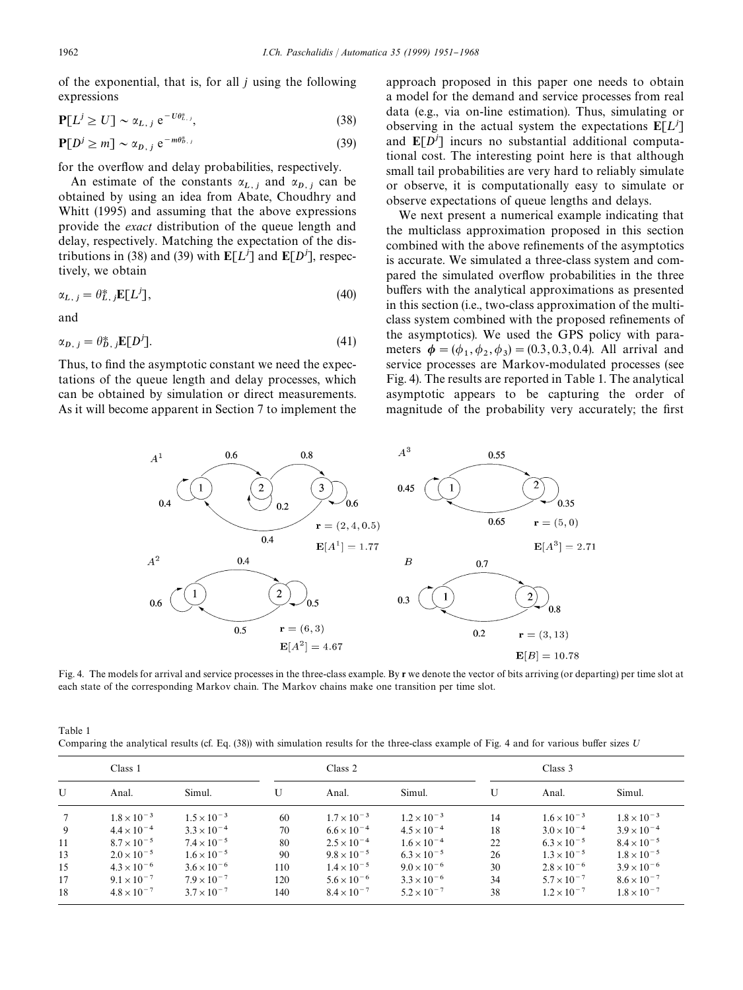of the exponential, that is, for all *j* using the following expressions

$$
\mathbf{P}[L^j \ge U] \sim \alpha_{L,j} e^{-U\theta_{L,j}^*},\tag{38}
$$

$$
\mathbf{P}[D^j \ge m] \sim \alpha_{D,\,j} \,\,\mathrm{e}^{-m\theta_{D,\,j}^*} \tag{39}
$$

for the overflow and delay probabilities, respectively.

An estimate of the constants  $\alpha_{L,j}$  and  $\alpha_{D,j}$  can be obtained by using an idea from Abate, Choudhry and Whitt (1995) and assuming that the above expressions provide the *exact* distribution of the queue length and delay, respectively. Matching the expectation of the distributions in (38) and (39) with  $E[L^j]$  and  $E[D^j]$ , respectively, we obtain

$$
\alpha_{L,\,j} = \theta_{L,\,j}^* \mathbf{E}[L^j],\tag{40}
$$

and

$$
\alpha_{D,\,j} = \theta_{D,\,j}^* \mathbb{E}[D^j].\tag{41}
$$

Thus, to find the asymptotic constant we need the expectations of the queue length and delay processes, which can be obtained by simulation or direct measurements. As it will become apparent in Section 7 to implement the

approach proposed in this paper one needs to obtain a model for the demand and service processes from real data (e.g., via on-line estimation). Thus, simulating or observing in the actual system the expectations  $E[L^j]$ and  $E[D^j]$  incurs no substantial additional computational cost. The interesting point here is that although small tail probabilities are very hard to reliably simulate or observe, it is computationally easy to simulate or observe expectations of queue lengths and delays.

We next present a numerical example indicating that the multiclass approximation proposed in this section combined with the above refinements of the asymptotics is accurate. We simulated a three-class system and compared the simulated overflow probabilities in the three buffers with the analytical approximations as presented in this section (i.e., two-class approximation of the multiclass system combined with the proposed refinements of the asymptotics). We used the GPS policy with parameters  $\phi = (\phi_1, \phi_2, \phi_3) = (0.3, 0.3, 0.4)$ . All arrival and service processes are Markov-modulated processes (see Fig. 4). The results are reported in Table 1. The analytical asymptotic appears to be capturing the order of magnitude of the probability very accurately; the first



Fig. 4. The models for arrival and service processes in the three-class example. By r we denote the vector of bits arriving (or departing) per time slot at each state of the corresponding Markov chain. The Markov chains make one transition per time slot.

| Table 1                                                                                                                                         |  |
|-------------------------------------------------------------------------------------------------------------------------------------------------|--|
| Comparing the analytical results (cf. Eq. $(38)$ ) with simulation results for the three-class example of Fig. 4 and for various buffer sizes U |  |

| Class 1 |                      |                      | Class 2 |                      |                      | Class 3 |                      |                      |
|---------|----------------------|----------------------|---------|----------------------|----------------------|---------|----------------------|----------------------|
| U       | Anal.                | Simul.               | U       | Anal.                | Simul.               | U       | Anal.                | Simul.               |
|         | $1.8 \times 10^{-3}$ | $1.5 \times 10^{-3}$ | 60      | $1.7 \times 10^{-3}$ | $1.2 \times 10^{-3}$ | 14      | $1.6 \times 10^{-3}$ | $1.8 \times 10^{-3}$ |
| 9       | $4.4 \times 10^{-4}$ | $3.3 \times 10^{-4}$ | 70      | $6.6 \times 10^{-4}$ | $4.5 \times 10^{-4}$ | 18      | $3.0 \times 10^{-4}$ | $3.9 \times 10^{-4}$ |
| 11      | $8.7 \times 10^{-5}$ | $7.4 \times 10^{-5}$ | 80      | $2.5 \times 10^{-4}$ | $1.6 \times 10^{-4}$ | 22      | $6.3 \times 10^{-5}$ | $8.4 \times 10^{-5}$ |
| 13      | $2.0 \times 10^{-5}$ | $1.6 \times 10^{-5}$ | 90      | $9.8 \times 10^{-5}$ | $6.3 \times 10^{-5}$ | 26      | $1.3 \times 10^{-5}$ | $1.8 \times 10^{-5}$ |
| 15      | $4.3 \times 10^{-6}$ | $3.6 \times 10^{-6}$ | 110     | $1.4 \times 10^{-5}$ | $9.0 \times 10^{-6}$ | 30      | $2.8 \times 10^{-6}$ | $3.9 \times 10^{-6}$ |
| 17      | $9.1 \times 10^{-7}$ | $7.9 \times 10^{-7}$ | 120     | $5.6 \times 10^{-6}$ | $3.3 \times 10^{-6}$ | 34      | $5.7 \times 10^{-7}$ | $8.6 \times 10^{-7}$ |
| 18      | $4.8 \times 10^{-7}$ | $3.7 \times 10^{-7}$ | 140     | $8.4 \times 10^{-7}$ | $5.2 \times 10^{-7}$ | 38      | $1.2 \times 10^{-7}$ | $1.8 \times 10^{-7}$ |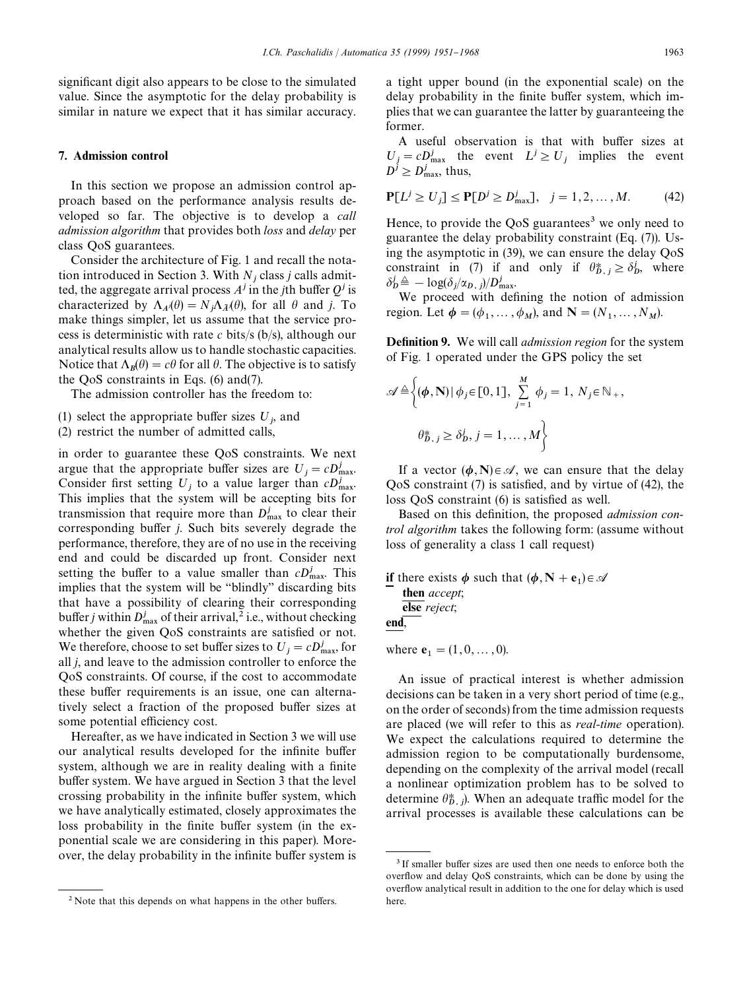significant digit also appears to be close to the simulated value. Since the asymptotic for the delay probability is similar in nature we expect that it has similar accuracy.

## 7. Admission control

In this section we propose an admission control approach based on the performance analysis results developed so far. The objective is to develop a *call admission algorithm* that provides both *loss* and *delay* per class QoS guarantees.

Consider the architecture of Fig. 1 and recall the notation introduced in Section 3. With  $N_j$  class *j* calls admitted, the aggregate arrival process  $A<sup>j</sup>$  in the *j*th buffer  $Q<sup>j</sup>$  is characterized by  $\Lambda_{A}(\theta) = N_j \Lambda_{\tilde{A}}(\theta)$ , for all  $\theta$  and *j*. To make things simpler, let us assume that the service process is deterministic with rate *c* bits/s (b/s), although our analytical results allow us to handle stochastic capacities. Notice that  $\Lambda_B(\theta) = c\theta$  for all  $\theta$ . The objective is to satisfy the QoS constraints in Eqs. (6) and(7).

The admission controller has the freedom to:

- (1) select the appropriate buffer sizes  $U_j$ , and
- (2) restrict the number of admitted calls,

in order to guarantee these QoS constraints. We next argue that the appropriate buffer sizes are  $U_j = cD_{\text{max}}^j$ . Consider first setting  $U_j$  to a value larger than  $cD_{\text{max}}^j$ . This implies that the system will be accepting bits for transmission that require more than  $D_{\text{max}}^j$  to clear their corresponding buffer *j*. Such bits severely degrade the performance, therefore, they are of no use in the receiving end and could be discarded up front. Consider next setting the buffer to a value smaller than  $cD_{\text{max}}^j$ . This implies that the system will be "blindly" discarding bits that have a possibility of clearing their corresponding buffer *j* within  $D_{\text{max}}^j$  of their arrival,<sup>2</sup> i.e., without checking whether the given QoS constraints are satisfied or not. We therefore, choose to set buffer sizes to  $U_j = cD_{\text{max}}^j$ , for all *j*, and leave to the admission controller to enforce the QoS constraints. Of course, if the cost to accommodate these buffer requirements is an issue, one can alternatively select a fraction of the proposed buffer sizes at some potential efficiency cost.

Hereafter, as we have indicated in Section 3 we will use our analytical results developed for the infinite buffer system, although we are in reality dealing with a finite buffer system. We have argued in Section 3 that the level crossing probability in the infinite buffer system, which we have analytically estimated, closely approximates the loss probability in the finite buffer system (in the exponential scale we are considering in this paper). Moreover, the delay probability in the infinite buffer system is

a tight upper bound (in the exponential scale) on the delay probability in the finite buffer system, which implies that we can guarantee the latter by guaranteeing the former.

A useful observation is that with buffer sizes at  $U_j = cD_{\text{max}}^j$  the event  $L^j \ge U_j$  implies the event  $D^j \geq D_{\text{max}}^j$ , thus,

$$
\mathbf{P}[L^{j} \ge U_{j}] \le \mathbf{P}[D^{j} \ge D_{\text{max}}^{j}], \quad j = 1, 2, ..., M. \tag{42}
$$

Hence, to provide the QoS guarantees<sup>3</sup> we only need to guarantee the delay probability constraint (Eq. (7)). Using the asymptotic in (39), we can ensure the delay QoS constraint in (7) if and only if  $\theta_{D,j}^* \geq \delta_D^j$ , where  $\delta_{\boldsymbol{D}}^j \triangleq -\log(\delta_j/\alpha_{\boldsymbol{D}}, j)/D_{\max}^j$ .

We proceed with defining the notion of admission region. Let  $\phi = (\phi_1, \dots, \phi_M)$ , and  $\mathbf{N} = (N_1, \dots, N_M)$ .

**Definition 9.** We will call *admission region* for the system of Fig. 1 operated under the GPS policy the set

$$
\mathscr{A} \triangleq \left\{ (\boldsymbol{\phi}, \mathbf{N}) \, | \, \phi_j \in [0, 1], \sum_{j=1}^{M} \phi_j = 1, N_j \in \mathbb{N}_+, \right.
$$

$$
\theta_{D, j}^* \geq \delta_D^j, j = 1, \dots, M \right\}
$$

If a vector  $(\phi, N) \in \mathcal{A}$ , we can ensure that the delay  $QoS$  constraint (7) is satisfied, and by virtue of (42), the loss QoS constraint (6) is satisfied as well.

Based on this definition, the proposed *admission control algorithm* takes the following form: (assume without loss of generality a class 1 call request)

if there exists  $\phi$  such that  $(\phi, N + e_1) \in \mathcal{A}$ then *accept*; else *reject*; end,

where  $e_1 = (1, 0, \dots, 0)$ .

An issue of practical interest is whether admission decisions can be taken in a very short period of time (e.g., on the order of seconds) from the time admission requests are placed (we will refer to this as *real-time* operation). We expect the calculations required to determine the admission region to be computationally burdensome, depending on the complexity of the arrival model (recall a nonlinear optimization problem has to be solved to determine  $\theta_{D, j}^*$ ). When an adequate traffic model for the arrival processes is available these calculations can be

 $2$  Note that this depends on what happens in the other buffers.

<sup>&</sup>lt;sup>3</sup> If smaller buffer sizes are used then one needs to enforce both the overflow and delay QoS constraints, which can be done by using the overflow analytical result in addition to the one for delay which is used here.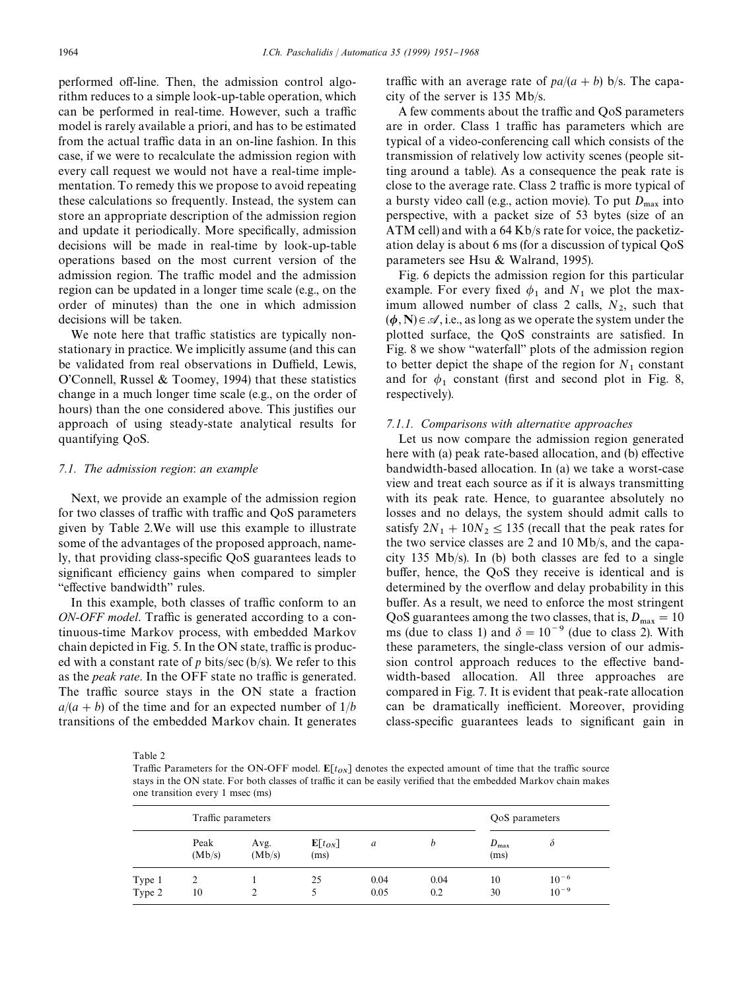performed off-line. Then, the admission control algorithm reduces to a simple look-up-table operation, which can be performed in real-time. However, such a traffic model is rarely available a priori, and has to be estimated from the actual traffic data in an on-line fashion. In this case, if we were to recalculate the admission region with every call request we would not have a real-time implementation. To remedy this we propose to avoid repeating these calculations so frequently. Instead, the system can store an appropriate description of the admission region and update it periodically. More specifically, admission decisions will be made in real-time by look-up-table operations based on the most current version of the admission region. The traffic model and the admission region can be updated in a longer time scale (e.g., on the order of minutes) than the one in which admission decisions will be taken.

We note here that traffic statistics are typically nonstationary in practice. We implicitly assume (and this can be validated from real observations in Duffield, Lewis, O'Connell, Russel & Toomey, 1994) that these statistics change in a much longer time scale (e.g., on the order of hours) than the one considered above. This justifies our approach of using steady-state analytical results for quantifying QoS.

# *7.1. The admission region*: *an example*

Next, we provide an example of the admission region for two classes of traffic with traffic and QoS parameters given by Table 2.We will use this example to illustrate some of the advantages of the proposed approach, namely, that providing class-specific QoS guarantees leads to significant efficiency gains when compared to simpler "effective bandwidth" rules.

In this example, both classes of traffic conform to an *ON-OFF model*. Traffic is generated according to a continuous-time Markov process, with embedded Markov chain depicted in Fig. 5. In the ON state, traffic is produced with a constant rate of  $p$  bits/sec (b/s). We refer to this as the *peak rate*. In the OFF state no traffic is generated. The traffic source stays in the ON state a fraction  $a/(a + b)$  of the time and for an expected number of  $1/b$ transitions of the embedded Markov chain. It generates

traffic with an average rate of  $pa/(a + b)$  b/s. The capacity of the server is 135 Mb/s.

A few comments about the traffic and QoS parameters are in order. Class 1 traffic has parameters which are typical of a video-conferencing call which consists of the transmission of relatively low activity scenes (people sitting around a table). As a consequence the peak rate is close to the average rate. Class 2 traffic is more typical of a bursty video call (e.g., action movie). To put  $D_{\text{max}}$  into perspective, with a packet size of 53 bytes (size of an ATM cell) and with a 64 Kb/s rate for voice, the packetization delay is about 6 ms (for a discussion of typical QoS parameters see Hsu & Walrand, 1995).

Fig. 6 depicts the admission region for this particular example. For every fixed  $\phi_1$  and  $N_1$  we plot the maximum allowed number of class 2 calls,  $N_2$ , such that  $(\phi, N) \in \mathcal{A}$ , i.e., as long as we operate the system under the plotted surface, the QoS constraints are satisfied. In Fig. 8 we show "waterfall" plots of the admission region to better depict the shape of the region for  $N_1$  constant and for  $\phi_1$  constant (first and second plot in Fig. 8, respectively).

# *7.1.1. Comparisons with alternative approaches*

Let us now compare the admission region generated here with (a) peak rate-based allocation, and (b) effective bandwidth-based allocation. In (a) we take a worst-case view and treat each source as if it is always transmitting with its peak rate. Hence, to guarantee absolutely no losses and no delays, the system should admit calls to satisfy  $2N_1 + 10N_2 \le 135$  (recall that the peak rates for the two service classes are 2 and 10 Mb/s, and the capacity 135 Mb/s). In (b) both classes are fed to a single buffer, hence, the QoS they receive is identical and is determined by the overflow and delay probability in this buffer. As a result, we need to enforce the most stringent QoS guarantees among the two classes, that is,  $D_{\text{max}} = 10$ ms (due to class 1) and  $\delta = 10^{-9}$  (due to class 2). With these parameters, the single-class version of our admission control approach reduces to the effective bandwidth-based allocation. All three approaches are compared in Fig. 7. It is evident that peak-rate allocation can be dramatically inefficient. Moreover, providing class-specific guarantees leads to significant gain in

Table 2

Traffic Parameters for the ON-OFF model.  $E[t_{ON}]$  denotes the expected amount of time that the traffic source stays in the ON state. For both classes of traffic it can be easily verified that the embedded Markov chain makes one transition every 1 msec (ms)

|        | Traffic parameters |                |                              |      |      |                    | QoS parameters |  |
|--------|--------------------|----------------|------------------------------|------|------|--------------------|----------------|--|
|        | Peak<br>(Mb/s)     | Avg.<br>(Mb/s) | $\mathbf{E}[t_{ON}]$<br>(ms) | a    | h    | $D_{\max}$<br>(ms) | $\partial$     |  |
| Type 1 | 2                  |                | 25                           | 0.04 | 0.04 | 10                 | $10^{-6}$      |  |
| Type 2 | 10                 |                |                              | 0.05 | 0.2  | 30                 | $10^{-9}$      |  |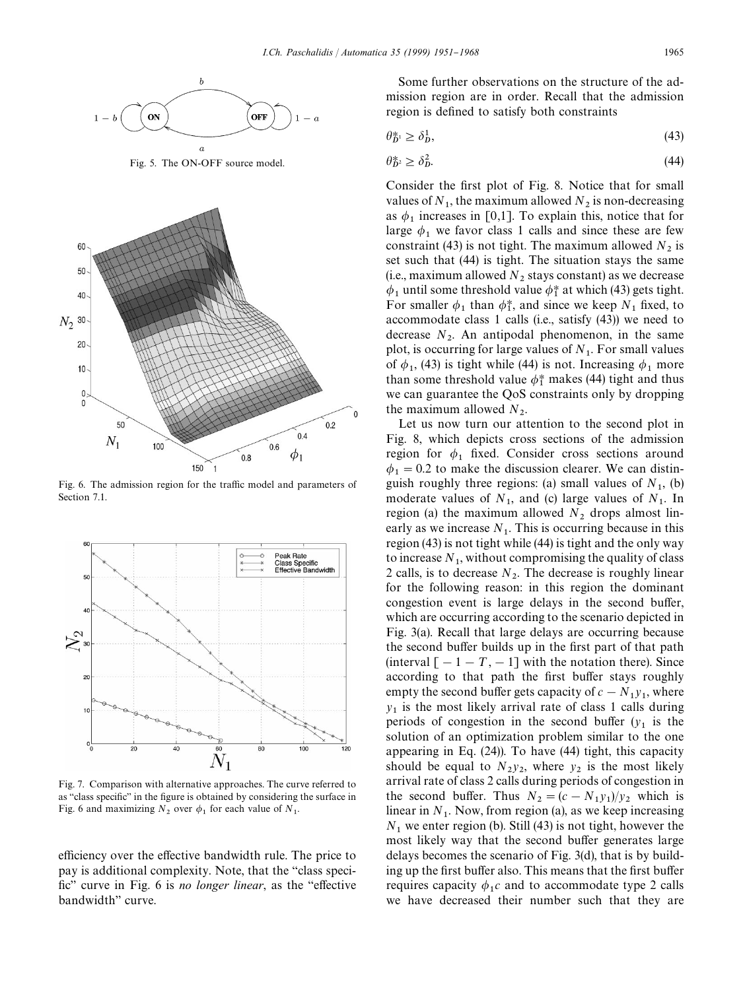

Fig. 5. The ON-OFF source model.



Fig. 6. The admission region for the traffic model and parameters of Section 7.1.



Fig. 7. Comparison with alternative approaches. The curve referred to as "class specific" in the figure is obtained by considering the surface in Fig. 6 and maximizing  $N_2$  over  $\phi_1$  for each value of  $N_1$ .

efficiency over the effective bandwidth rule. The price to pay is additional complexity. Note, that the "class speci-fic" curve in Fig. 6 is *no longer linear*, as the "effective" bandwidth" curve.

Some further observations on the structure of the admission region are in order. Recall that the admission region is defined to satisfy both constraints

$$
\theta_D^* \ge \delta_D^1,\tag{43}
$$

$$
\theta_D^* \ge \delta_D^2. \tag{44}
$$

Consider the first plot of Fig. 8. Notice that for small values of  $N_1$ , the maximum allowed  $N_2$  is non-decreasing as  $\phi_1$  increases in [0,1]. To explain this, notice that for large  $\phi_1$  we favor class 1 calls and since these are few constraint (43) is not tight. The maximum allowed  $N_2$  is set such that (44) is tight. The situation stays the same (i.e., maximum allowed  $N_2$  stays constant) as we decrease  $\phi_1$  until some threshold value  $\phi_1^*$  at which (43) gets tight. For smaller  $\phi_1$  than  $\phi_1^*$ , and since we keep  $N_1$  fixed, to accommodate class 1 calls (i.e., satisfy (43)) we need to decrease  $N_2$ . An antipodal phenomenon, in the same plot, is occurring for large values of  $N_1$ . For small values of  $\phi_1$ , (43) is tight while (44) is not. Increasing  $\phi_1$  more than some threshold value  $\phi_1^*$  makes (44) tight and thus we can guarantee the QoS constraints only by dropping the maximum allowed  $N_2$ .

Let us now turn our attention to the second plot in Fig. 8, which depicts cross sections of the admission region for  $\phi_1$  fixed. Consider cross sections around  $\phi_1 = 0.2$  to make the discussion clearer. We can distinguish roughly three regions: (a) small values of  $N_1$ , (b) moderate values of  $N_1$ , and (c) large values of  $N_1$ . In region (a) the maximum allowed  $N_2$  drops almost linearly as we increase  $N_1$ . This is occurring because in this region (43) is not tight while (44) is tight and the only way to increase  $N_1$ , without compromising the quality of class 2 calls, is to decrease  $N_2$ . The decrease is roughly linear for the following reason: in this region the dominant congestion event is large delays in the second buffer, which are occurring according to the scenario depicted in Fig. 3(a). Recall that large delays are occurring because the second buffer builds up in the first part of that path (interval  $[-1 - T, -1]$  with the notation there). Since according to that path the first buffer stays roughly empty the second buffer gets capacity of  $c - N_1 y_1$ , where  $y_1$  is the most likely arrival rate of class 1 calls during periods of congestion in the second buffer  $(y_1)$  is the solution of an optimization problem similar to the one appearing in Eq. (24)). To have (44) tight, this capacity should be equal to  $N_2y_2$ , where  $y_2$  is the most likely arrival rate of class 2 calls during periods of congestion in the second buffer. Thus  $N_2 = (c - N_1 y_1)/y_2$  which is linear in  $N_1$ . Now, from region (a), as we keep increasing  $N_1$  we enter region (b). Still (43) is not tight, however the most likely way that the second buffer generates large delays becomes the scenario of Fig. 3(d), that is by building up the first buffer also. This means that the first buffer requires capacity  $\phi_1 c$  and to accommodate type 2 calls we have decreased their number such that they are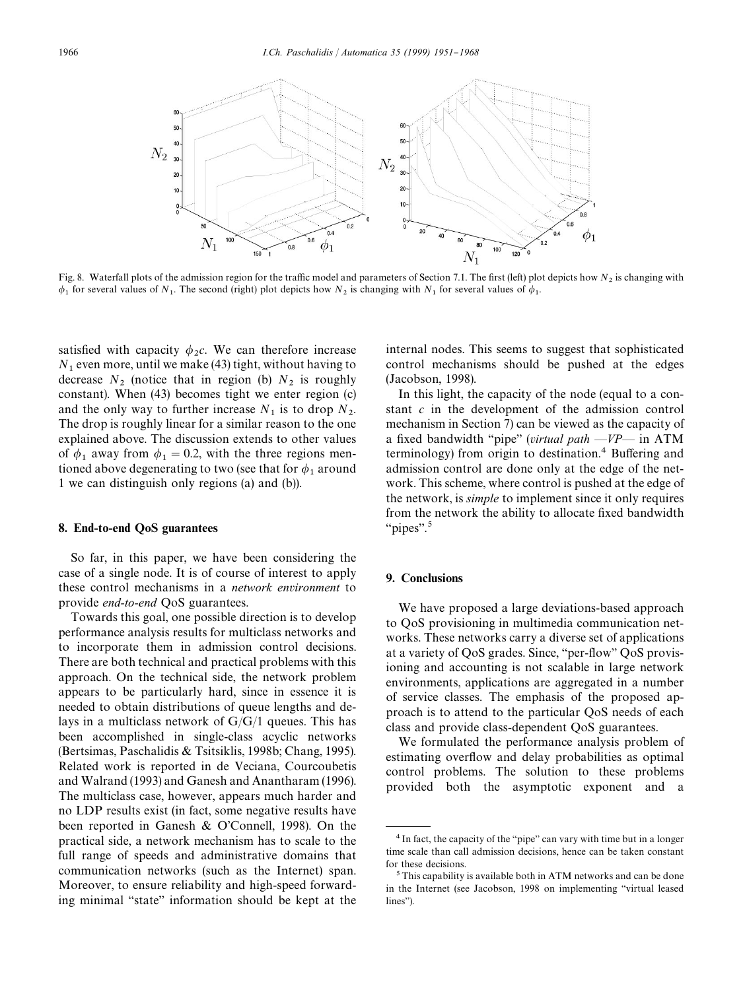

Fig. 8. Waterfall plots of the admission region for the traffic model and parameters of Section 7.1. The first (left) plot depicts how  $N_2$  is changing with  $\phi_1$  for several values of  $N_1$ . The second (right) plot depicts how  $N_2$  is changing with  $N_1$  for several values of  $\phi_1$ .

satisfied with capacity  $\phi_2 c$ . We can therefore increase  $N_1$  even more, until we make (43) tight, without having to decrease  $N_2$  (notice that in region (b)  $N_2$  is roughly constant). When (43) becomes tight we enter region (c) and the only way to further increase  $N_1$  is to drop  $N_2$ . The drop is roughly linear for a similar reason to the one explained above. The discussion extends to other values of  $\phi_1$  away from  $\phi_1 = 0.2$ , with the three regions mentioned above degenerating to two (see that for  $\phi_1$  around 1 we can distinguish only regions (a) and (b)).

## 8. End-to-end QoS guarantees

So far, in this paper, we have been considering the case of a single node. It is of course of interest to apply these control mechanisms in a *network environment* to provide *end-to-end* QoS guarantees.

Towards this goal, one possible direction is to develop performance analysis results for multiclass networks and to incorporate them in admission control decisions. There are both technical and practical problems with this approach. On the technical side, the network problem appears to be particularly hard, since in essence it is needed to obtain distributions of queue lengths and delays in a multiclass network of  $G/G/1$  queues. This has been accomplished in single-class acyclic networks (Bertsimas, Paschalidis & Tsitsiklis, 1998b; Chang, 1995). Related work is reported in de Veciana, Courcoubetis and Walrand (1993) and Ganesh and Anantharam (1996). The multiclass case, however, appears much harder and no LDP results exist (in fact, some negative results have been reported in Ganesh & O'Connell, 1998). On the practical side, a network mechanism has to scale to the full range of speeds and administrative domains that communication networks (such as the Internet) span. Moreover, to ensure reliability and high-speed forwarding minimal "state" information should be kept at the

internal nodes. This seems to suggest that sophisticated control mechanisms should be pushed at the edges (Jacobson, 1998).

In this light, the capacity of the node (equal to a constant *c* in the development of the admission control mechanism in Section 7) can be viewed as the capacity of a fixed bandwidth "pipe" (*virtual path*  $-VP$  in ATM terminology) from origin to destination.<sup>4</sup> Buffering and admission control are done only at the edge of the network. This scheme, where control is pushed at the edge of the network, is *simple* to implement since it only requires from the network the ability to allocate fixed bandwidth " $\text{pipes}$ ".<sup>5</sup>

# 9. Conclusions

We have proposed a large deviations-based approach to QoS provisioning in multimedia communication networks. These networks carry a diverse set of applications at a variety of QoS grades. Since, "per-flow" QoS provisioning and accounting is not scalable in large network environments, applications are aggregated in a number of service classes. The emphasis of the proposed approach is to attend to the particular QoS needs of each class and provide class-dependent QoS guarantees.

We formulated the performance analysis problem of estimating overflow and delay probabilities as optimal control problems. The solution to these problems provided both the asymptotic exponent and a

<sup>&</sup>lt;sup>4</sup> In fact, the capacity of the "pipe" can vary with time but in a longer time scale than call admission decisions, hence can be taken constant for these decisions.

<sup>5</sup>This capability is available both in ATM networks and can be done in the Internet (see Jacobson, 1998 on implementing "virtual leased lines").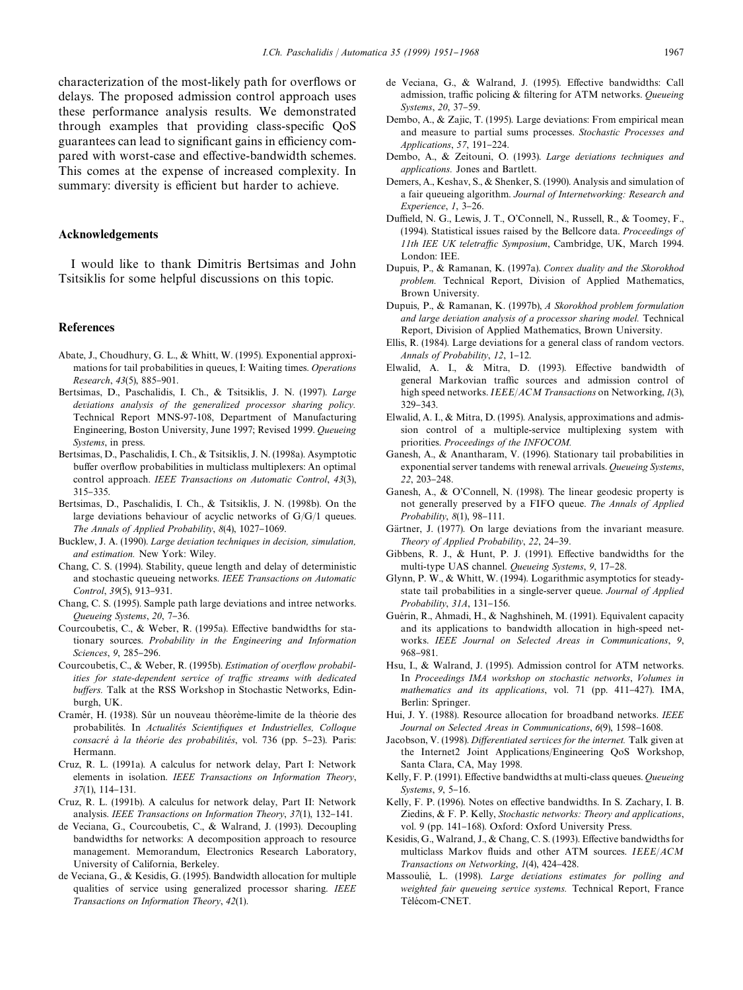characterization of the most-likely path for overflows or delays. The proposed admission control approach uses these performance analysis results. We demonstrated through examples that providing class-specific QoS guarantees can lead to significant gains in efficiency compared with worst-case and effective-bandwidth schemes. This comes at the expense of increased complexity. In summary: diversity is efficient but harder to achieve.

## Acknowledgements

I would like to thank Dimitris Bertsimas and John Tsitsiklis for some helpful discussions on this topic.

### **References**

- Abate, J., Choudhury, G. L., & Whitt, W. (1995). Exponential approximations for tail probabilities in queues, I: Waiting times. *Operations Research*, 43(5), 885-901.
- Bertsimas, D., Paschalidis, I. Ch., & Tsitsiklis, J. N. (1997). *Large deviations analysis of the generalized processor sharing policy.* Technical Report MNS-97-108, Department of Manufacturing Engineering, Boston University, June 1997; Revised 1999. *Queueing Systems*, in press.
- Bertsimas, D., Paschalidis, I. Ch., & Tsitsiklis, J. N. (1998a). Asymptotic buffer overflow probabilities in multiclass multiplexers: An optimal control approach. *IEEE Transactions on Automatic Control*, *43*(3),  $315 - 335$ .
- Bertsimas, D., Paschalidis, I. Ch., & Tsitsiklis, J. N. (1998b). On the large deviations behaviour of acyclic networks of G/G/1 queues. *The Annals of Applied Probability*,  $8(4)$ , 1027-1069.
- Bucklew, J. A. (1990). *Large deviation techniques in decision, simulation, and estimation.* New York: Wiley.
- Chang, C. S. (1994). Stability, queue length and delay of deterministic and stochastic queueing networks. *IEEE Transactions on Automatic Control*, 39(5), 913-931.
- Chang, C. S. (1995). Sample path large deviations and intree networks. *Queueing Systems*, 20, 7-36.
- Courcoubetis, C., & Weber, R. (1995a). Effective bandwidths for stationary sources. *Probability in the Engineering and Information Sciences*, 9, 285-296.
- Courcoubetis, C., & Weber, R. (1995b). *Estimation of overflow probabilities for state-dependent service of traffic streams with dedicated buffers*. Talk at the RSS Workshop in Stochastic Networks, Edinburgh, UK.
- Cramér, H. (1938). Sûr un nouveau théorème-limite de la théorie des probabilités. In *Actualités Scientifiques et Industrielles, Colloque consacré à la théorie des probabilités*, vol. 736 (pp. 5-23). Paris: Hermann.
- Cruz, R. L. (1991a). A calculus for network delay, Part I: Network elements in isolation. *IEEE Transactions on Information Theory*, 37(1), 114-131.
- Cruz, R. L. (1991b). A calculus for network delay, Part II: Network analysis. *IEEE Transactions on Information Theory*,  $37(1)$ ,  $132-141$ .
- de Veciana, G., Courcoubetis, C., & Walrand, J. (1993). Decoupling bandwidths for networks: A decomposition approach to resource management. Memorandum, Electronics Research Laboratory, University of California, Berkeley.
- de Veciana, G., & Kesidis, G. (1995). Bandwidth allocation for multiple qualities of service using generalized processor sharing. *IEEE Transactions on Information Theory*, *42*(1).
- de Veciana, G., & Walrand, J. (1995). Effective bandwidths: Call admission, traffic policing & filtering for ATM networks. *Queueing Systems*, 20, 37-59.
- Dembo, A., & Zajic, T. (1995). Large deviations: From empirical mean and measure to partial sums processes. *Stochastic Processes and Applications*, 57, 191-224.
- Dembo, A., & Zeitouni, O. (1993). *Large deviations techniques and applications.* Jones and Bartlett.
- Demers, A., Keshav, S., & Shenker, S. (1990). Analysis and simulation of a fair queueing algorithm. *Journal of Internetworking: Research and Experience*, *1*, 3-26.
- Duffield, N. G., Lewis, J. T., O'Connell, N., Russell, R., & Toomey, F., (1994). Statistical issues raised by the Bellcore data. *Proceedings of 11th IEE UK teletraffic Symposium*, Cambridge, UK, March 1994. London: IEE.
- Dupuis, P., & Ramanan, K. (1997a). *Convex duality and the Skorokhod problem.* Technical Report, Division of Applied Mathematics, Brown University.
- Dupuis, P., & Ramanan, K. (1997b), *A Skorokhod problem formulation and large deviation analysis of a processor sharing model.* Technical Report, Division of Applied Mathematics, Brown University.
- Ellis, R. (1984). Large deviations for a general class of random vectors. *Annals of Probability*, 12, 1-12.
- Elwalid, A. I., & Mitra, D. (1993). Effective bandwidth of general Markovian traffic sources and admission control of high speed networks. *IEEE*/*ACM Transactions* on Networking, *1*(3), 329-343.
- Elwalid, A. I., & Mitra, D. (1995). Analysis, approximations and admission control of a multiple-service multiplexing system with priorities. *Proceedings of the INFOCOM.*
- Ganesh, A., & Anantharam, V. (1996). Stationary tail probabilities in exponential server tandems with renewal arrivals. *Queueing Systems*, 22, 203-248.
- Ganesh, A., & O'Connell, N. (1998). The linear geodesic property is not generally preserved by a FIFO queue. *The Annals of Applied Probability*,  $8(1)$ ,  $98-111$ .
- Gärtner, J. (1977). On large deviations from the invariant measure. *Theory of Applied Probability*, 22, 24-39.
- Gibbens, R. J., & Hunt, P. J. (1991). Effective bandwidths for the multi-type UAS channel. *Queueing Systems*, 9, 17-28.
- Glynn, P. W., & Whitt, W. (1994). Logarithmic asymptotics for steadystate tail probabilities in a single-server queue. *Journal of Applied Probability*, 31A, 131-156.
- Guérin, R., Ahmadi, H., & Naghshineh, M. (1991). Equivalent capacity and its applications to bandwidth allocation in high-speed networks. *IEEE Journal on Selected Areas in Communications*, *9*, 968-981
- Hsu, I., & Walrand, J. (1995). Admission control for ATM networks. In *Proceedings IMA workshop on stochastic networks*, *Volumes in mathematics and its applications*, vol. 71 (pp. 411-427). IMA, Berlin: Springer.
- Hui, J. Y. (1988). Resource allocation for broadband networks. *IEEE Journal on Selected Areas in Communications*,  $6(9)$ , 1598-1608.
- Jacobson, V. (1998). *Differentiated services for the internet*. Talk given at the Internet2 Joint Applications/Engineering QoS Workshop, Santa Clara, CA, May 1998.
- Kelly, F. P. (1991). Effective bandwidths at multi-class queues. *Queueing Systems*, 9, 5-16.
- Kelly, F. P. (1996). Notes on effective bandwidths. In S. Zachary, I. B. Ziedins, & F. P. Kelly, *Stochastic networks: Theory and applications*, vol. 9 (pp. 141-168). Oxford: Oxford University Press.
- Kesidis, G., Walrand, J., & Chang, C. S. (1993). Effective bandwidths for multiclass Markov #uids and other ATM sources. *IEEE*/*ACM Transactions on Networking*,  $I(4)$ , 424-428.
- Massoulié, L. (1998). *Large deviations estimates for polling and weighted fair queueing service systems.* Technical Report, France Télécom-CNET.